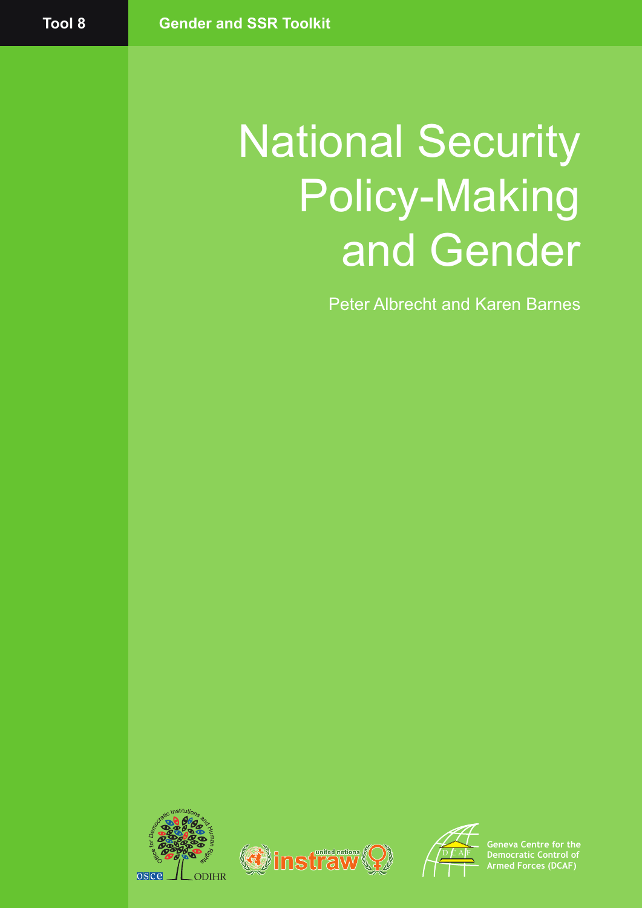# National Security Policy-Making and Gender

Peter Albrecht and Karen Barnes







**Geneva Centre for the Democratic Control of Armed Forces (DCAF)**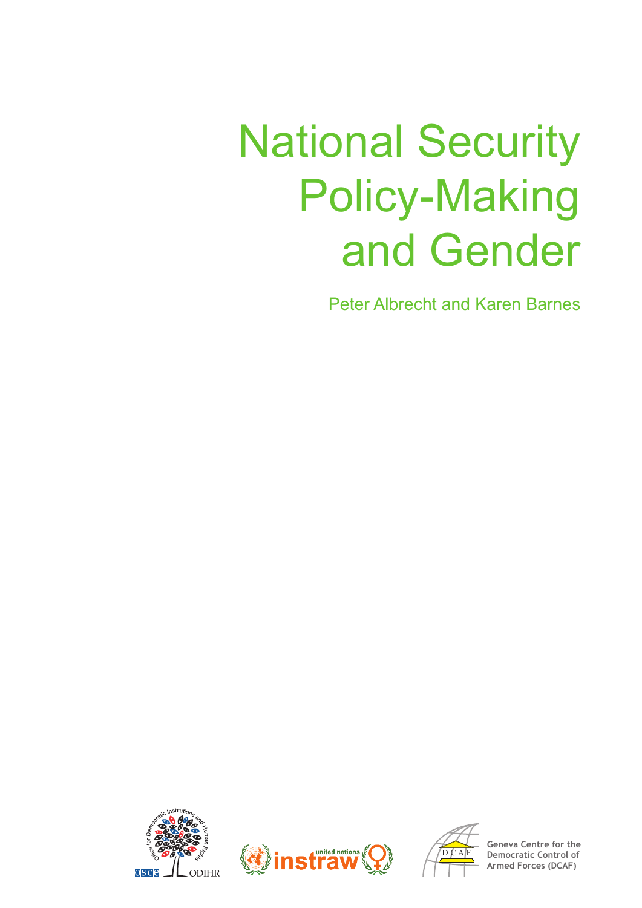# National Security Policy-Making and Gender

Peter Albrecht and Karen Barnes







**Geneva Centre for the Democratic Control of Armed Forces (DCAF)**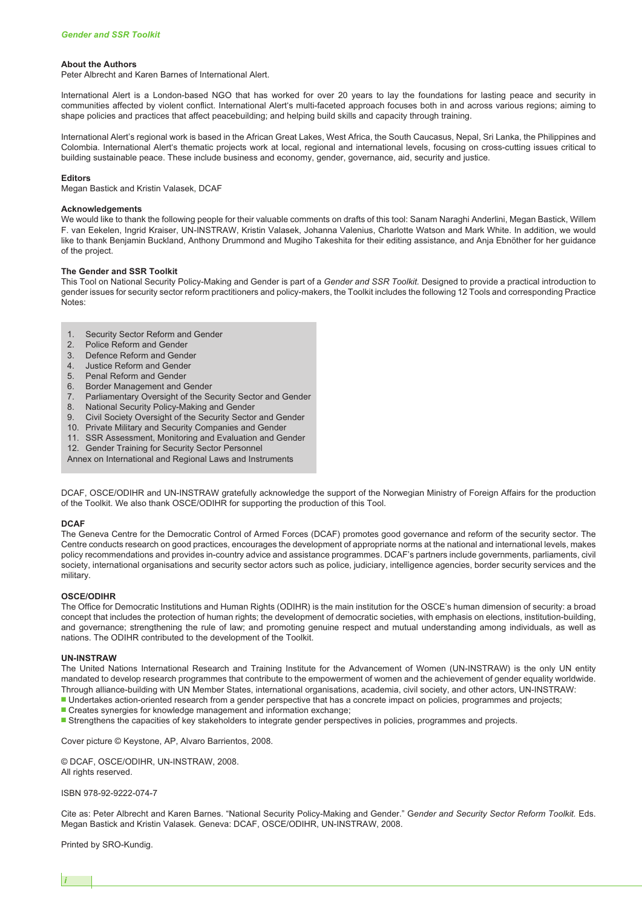#### **About the Authors**

Peter Albrecht and Karen Barnes of International Alert.

International Alert is a London-based NGO that has worked for over 20 years to lay the foundations for lasting peace and security in communities affected by violent conflict. International Alert's multi-faceted approach focuses both in and across various regions; aiming to shape policies and practices that affect peacebuilding; and helping build skills and capacity through training.

International Alert's regional work is based in the African Great Lakes, West Africa, the South Caucasus, Nepal, Sri Lanka, the Philippines and Colombia. International Alert's thematic projects work at local, regional and international levels, focusing on cross-cutting issues critical to building sustainable peace. These include business and economy, gender, governance, aid, security and justice.

#### **Editors**

Megan Bastick and Kristin Valasek, DCAF

#### **Acknowledgements**

We would like to thank the following people for their valuable comments on drafts of this tool: Sanam Naraghi Anderlini, Megan Bastick, Willem F. van Eekelen, Ingrid Kraiser, UN-INSTRAW, Kristin Valasek, Johanna Valenius, Charlotte Watson and Mark White. In addition, we would like to thank Benjamin Buckland, Anthony Drummond and Mugiho Takeshita for their editing assistance, and Anja Ebnöther for her guidance of the project.

#### **The Gender and SSR Toolkit**

This Tool on National Security Policy-Making and Gender is part of a *Gender and SSR Toolkit.* Designed to provide a practical introduction to gender issues for security sector reform practitioners and policy-makers, the Toolkit includes the following 12 Tools and corresponding Practice Notes:

- 1. Security Sector Reform and Gender
- 2. Police Reform and Gender
- 3. Defence Reform and Gender
- 4. Justice Reform and Gender
- 5. Penal Reform and Gender
- 6. Border Management and Gender
- 7. Parliamentary Oversight of the Security Sector and Gender
- National Security Policy-Making and Gender
- 9. Civil Society Oversight of the Security Sector and Gender
- 10. Private Military and Security Companies and Gender
- 11. SSR Assessment, Monitoring and Evaluation and Gender
- 12. Gender Training for Security Sector Personnel
- Annex on International and Regional Laws and Instruments

DCAF, OSCE/ODIHR and UN-INSTRAW gratefully acknowledge the support of the Norwegian Ministry of Foreign Affairs for the production of the Toolkit. We also thank OSCE/ODIHR for supporting the production of this Tool.

#### **DCAF**

The Geneva Centre for the Democratic Control of Armed Forces (DCAF) promotes good governance and reform of the security sector. The Centre conducts research on good practices, encourages the development of appropriate norms at the national and international levels, makes policy recommendations and provides in-country advice and assistance programmes. DCAF's partners include governments, parliaments, civil society, international organisations and security sector actors such as police, judiciary, intelligence agencies, border security services and the military.

#### **OSCE/ODIHR**

The Office for Democratic Institutions and Human Rights (ODIHR) is the main institution for the OSCE's human dimension of security: a broad concept that includes the protection of human rights; the development of democratic societies, with emphasis on elections, institution-building, and governance; strengthening the rule of law; and promoting genuine respect and mutual understanding among individuals, as well as nations. The ODIHR contributed to the development of the Toolkit.

#### **UN-INSTRAW**

The United Nations International Research and Training Institute for the Advancement of Women (UN-INSTRAW) is the only UN entity mandated to develop research programmes that contribute to the empowerment of women and the achievement of gender equality worldwide. Through alliance-building with UN Member States, international organisations, academia, civil society, and other actors, UN-INSTRAW:

- **■** Undertakes action-oriented research from a gender perspective that has a concrete impact on policies, programmes and projects;
- **■** Creates synergies for knowledge management and information exchange;
- Strengthens the capacities of key stakeholders to integrate gender perspectives in policies, programmes and projects.

Cover picture © Keystone, AP, Alvaro Barrientos, 2008.

© DCAF, OSCE/ODIHR, UN-INSTRAW, 2008. All rights reserved.

ISBN 978-92-9222-074-7

Cite as: Peter Albrecht and Karen Barnes. "National Security Policy-Making and Gender." G*ender and Security Sector Reform Toolkit.* Eds. Megan Bastick and Kristin Valasek. Geneva: DCAF, OSCE/ODIHR, UN-INSTRAW, 2008.

Printed by SRO-Kundig.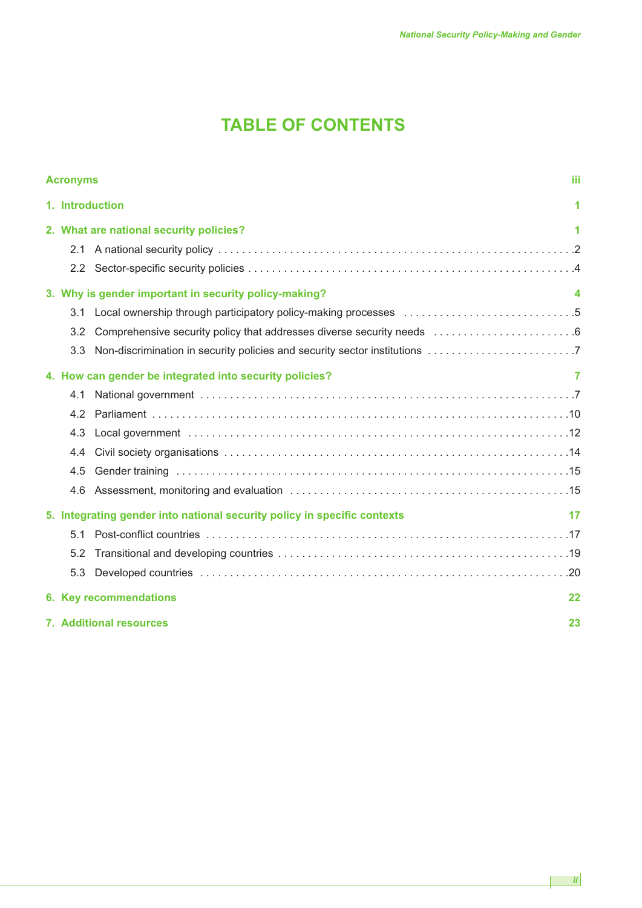# **TABLE OF CONTENTS**

| <b>Acronyms</b> |                                                                          |                                                                            | ШÌ |  |  |
|-----------------|--------------------------------------------------------------------------|----------------------------------------------------------------------------|----|--|--|
|                 | 1. Introduction                                                          |                                                                            |    |  |  |
|                 | 2. What are national security policies?                                  |                                                                            |    |  |  |
|                 | 2.1                                                                      |                                                                            |    |  |  |
|                 |                                                                          |                                                                            |    |  |  |
|                 |                                                                          | 3. Why is gender important in security policy-making?                      | 4  |  |  |
|                 | 3.1                                                                      |                                                                            |    |  |  |
|                 | 3.2                                                                      | Comprehensive security policy that addresses diverse security needs 6      |    |  |  |
|                 | 3.3                                                                      | Non-discrimination in security policies and security sector institutions 7 |    |  |  |
|                 | 4. How can gender be integrated into security policies?                  |                                                                            |    |  |  |
|                 | 4.1                                                                      |                                                                            |    |  |  |
|                 | 4.2                                                                      |                                                                            |    |  |  |
|                 | 4.3                                                                      |                                                                            |    |  |  |
|                 | 4.4                                                                      |                                                                            |    |  |  |
|                 | 4.5                                                                      |                                                                            |    |  |  |
|                 | 4.6                                                                      |                                                                            |    |  |  |
|                 | 5. Integrating gender into national security policy in specific contexts |                                                                            |    |  |  |
|                 | 5.1                                                                      |                                                                            |    |  |  |
|                 | 5.2                                                                      |                                                                            |    |  |  |
|                 | 5.3                                                                      |                                                                            |    |  |  |
|                 |                                                                          | 6. Key recommendations                                                     | 22 |  |  |
|                 | <b>7. Additional resources</b><br>23                                     |                                                                            |    |  |  |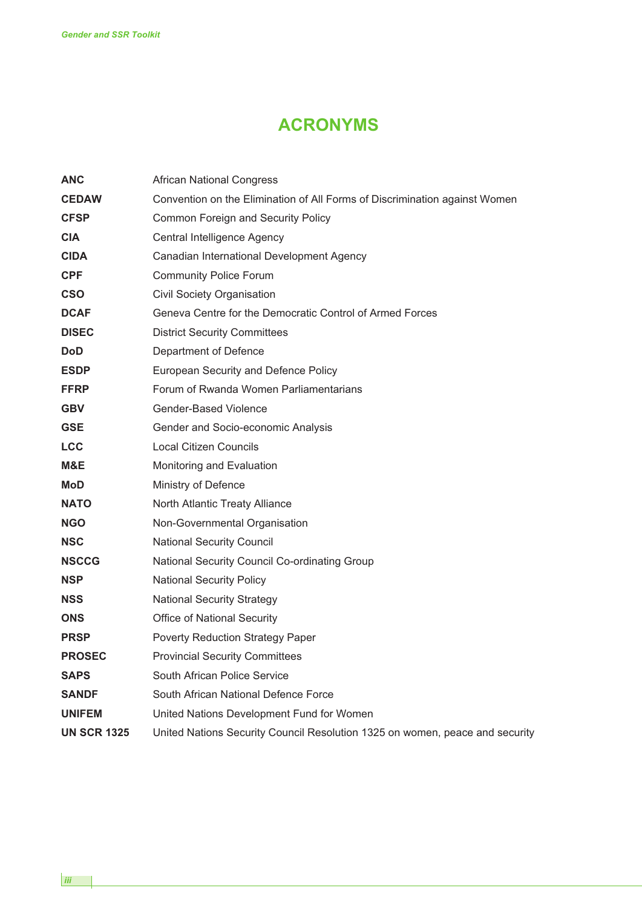# **ACRONYMS**

| <b>ANC</b>         | <b>African National Congress</b>                                             |  |  |  |
|--------------------|------------------------------------------------------------------------------|--|--|--|
| <b>CEDAW</b>       | Convention on the Elimination of All Forms of Discrimination against Women   |  |  |  |
| <b>CFSP</b>        | <b>Common Foreign and Security Policy</b>                                    |  |  |  |
| <b>CIA</b>         | Central Intelligence Agency                                                  |  |  |  |
| <b>CIDA</b>        | Canadian International Development Agency                                    |  |  |  |
| <b>CPF</b>         | <b>Community Police Forum</b>                                                |  |  |  |
| <b>CSO</b>         | Civil Society Organisation                                                   |  |  |  |
| <b>DCAF</b>        | Geneva Centre for the Democratic Control of Armed Forces                     |  |  |  |
| <b>DISEC</b>       | <b>District Security Committees</b>                                          |  |  |  |
| <b>DoD</b>         | Department of Defence                                                        |  |  |  |
| <b>ESDP</b>        | European Security and Defence Policy                                         |  |  |  |
| <b>FFRP</b>        | Forum of Rwanda Women Parliamentarians                                       |  |  |  |
| <b>GBV</b>         | Gender-Based Violence                                                        |  |  |  |
| <b>GSE</b>         | Gender and Socio-economic Analysis                                           |  |  |  |
| <b>LCC</b>         | <b>Local Citizen Councils</b>                                                |  |  |  |
| M&E                | Monitoring and Evaluation                                                    |  |  |  |
| <b>MoD</b>         | Ministry of Defence                                                          |  |  |  |
| <b>NATO</b>        | North Atlantic Treaty Alliance                                               |  |  |  |
| <b>NGO</b>         | Non-Governmental Organisation                                                |  |  |  |
| <b>NSC</b>         | <b>National Security Council</b>                                             |  |  |  |
| <b>NSCCG</b>       | National Security Council Co-ordinating Group                                |  |  |  |
| <b>NSP</b>         | <b>National Security Policy</b>                                              |  |  |  |
| <b>NSS</b>         | <b>National Security Strategy</b>                                            |  |  |  |
| <b>ONS</b>         | <b>Office of National Security</b>                                           |  |  |  |
| <b>PRSP</b>        | Poverty Reduction Strategy Paper                                             |  |  |  |
| <b>PROSEC</b>      | <b>Provincial Security Committees</b>                                        |  |  |  |
| <b>SAPS</b>        | South African Police Service                                                 |  |  |  |
| <b>SANDF</b>       | South African National Defence Force                                         |  |  |  |
| <b>UNIFEM</b>      | United Nations Development Fund for Women                                    |  |  |  |
| <b>UN SCR 1325</b> | United Nations Security Council Resolution 1325 on women, peace and security |  |  |  |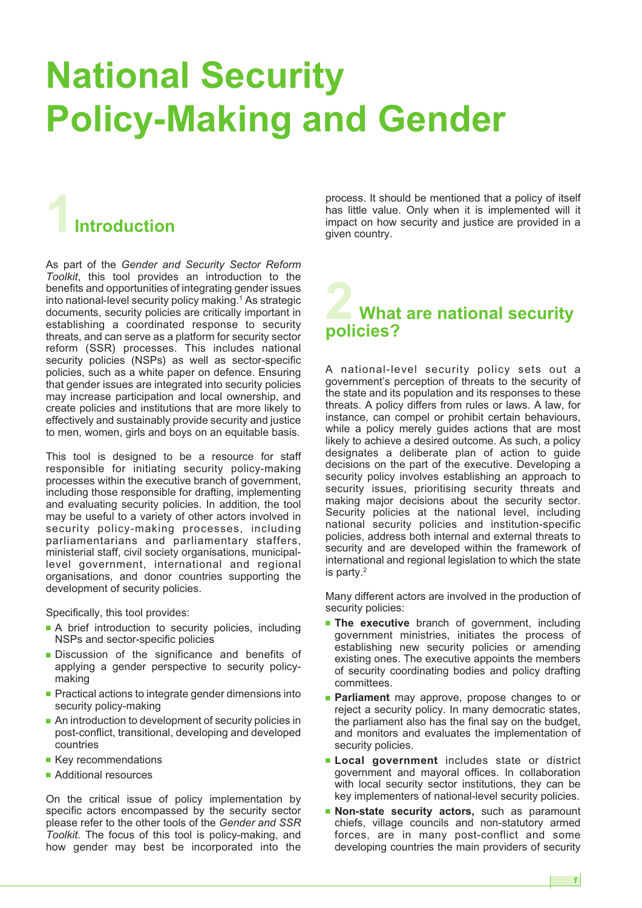# **National Security Policy-Making and Gender**

# **1Introduction**

As part of the *Gender and Security Sector Reform Toolkit*, this tool provides an introduction to the benefits and opportunities of integrating gender issues into national-level security policy making. <sup>1</sup> As strategic documents, security policies are critically important in establishing a coordinated response to security threats, and can serve as a platform for security sector reform (SSR) processes. This includes national security policies (NSPs) as well as sector-specific policies, such as a white paper on defence. Ensuring that gender issues are integrated into security policies may increase participation and local ownership, and create policies and institutions that are more likely to effectively and sustainably provide security and justice to men, women, girls and boys on an equitable basis.

This tool is designed to be a resource for staff responsible for initiating security policy-making processes within the executive branch of government, including those responsible for drafting, implementing and evaluating security policies. In addition, the tool may be useful to a variety of other actors involved in security policy-making processes, including parliamentarians and parliamentary staffers, ministerial staff, civil society organisations, municipallevel government, international and regional organisations, and donor countries supporting the development of security policies.

Specifically, this tool provides:

- **■** A brief introduction to security policies, including NSPs and sector-specific policies
- **■** Discussion of the significance and benefits of applying a gender perspective to security policymaking
- Practical actions to integrate gender dimensions into security policy-making
- An introduction to development of security policies in post-conflict, transitional, developing and developed countries
- **■** Key recommendations
- Additional resources

On the critical issue of policy implementation by specific actors encompassed by the security sector please refer to the other tools of the *Gender and SSR Toolkit*. The focus of this tool is policy-making, and how gender may best be incorporated into the

process. It should be mentioned that a policy of itself has little value. Only when it is implemented will it impact on how security and justice are provided in a given country.

# **2 What are national security policies?**

A national-level security policy sets out a government's perception of threats to the security of the state and its population and its responses to these threats. A policy differs from rules or laws. A law, for instance, can compel or prohibit certain behaviours, while a policy merely guides actions that are most likely to achieve a desired outcome. As such, a policy designates a deliberate plan of action to guide decisions on the part of the executive. Developing a security policy involves establishing an approach to security issues, prioritising security threats and making major decisions about the security sector. Security policies at the national level, including national security policies and institution-specific policies, address both internal and external threats to security and are developed within the framework of international and regional legislation to which the state is party. 2

Many different actors are involved in the production of security policies:

- **■ The executive** branch of government, including government ministries, initiates the process of establishing new security policies or amending existing ones. The executive appoints the members of security coordinating bodies and policy drafting committees.
- **Parliament** may approve, propose changes to or reject a security policy. In many democratic states, the parliament also has the final say on the budget, and monitors and evaluates the implementation of security policies.
- **■ Local government** includes state or district government and mayoral offices. In collaboration with local security sector institutions, they can be key implementers of national-level security policies.
- **■ Non-state security actors,** such as paramount chiefs, village councils and non-statutory armed forces, are in many post-conflict and some developing countries the main providers of security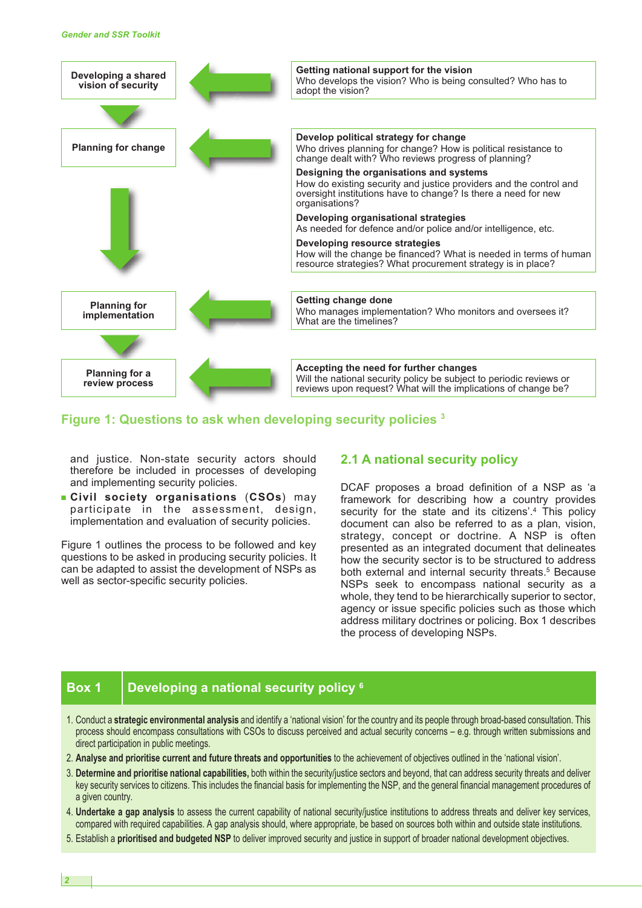

## **Figure 1: Questions to ask when developing security policies <sup>3</sup>**

and justice. Non-state security actors should therefore be included in processes of developing and implementing security policies.

**■ Civil society organisations** (**CSOs**) may participate in the assessment, design, implementation and evaluation of security policies.

Figure 1 outlines the process to be followed and key questions to be asked in producing security policies. It can be adapted to assist the development of NSPs as well as sector-specific security policies.

### **2.1 A national security policy**

DCAF proposes a broad definition of a NSP as 'a framework for describing how a country provides security for the state and its citizens'.<sup>4</sup> This policy document can also be referred to as a plan, vision, strategy, concept or doctrine. A NSP is often presented as an integrated document that delineates how the security sector is to be structured to address both external and internal security threats. <sup>5</sup> Because NSPs seek to encompass national security as a whole, they tend to be hierarchically superior to sector, agency or issue specific policies such as those which address military doctrines or policing. Box 1 describes the process of developing NSPs.

# **Box 1 Developing a national security policy <sup>6</sup>**

- 1. Conduct a **strategic environmental analysis** and identify a 'national vision' for the country and its people through broad-based consultation. This process should encompass consultations with CSOs to discuss perceived and actual security concerns – e.g. through written submissions and direct participation in public meetings.
- 2. **Analyse and prioritise current and future threats and opportunities** to the achievement of objectives outlined in the 'national vision'.
- 3. **Determine and prioritise national capabilities,** both within the security/justice sectors and beyond, that can address security threats and deliver key security services to citizens. This includes the financial basis for implementing the NSP, and the general financial management procedures of a given country.
- 4. **Undertake a gap analysis** to assess the current capability of national security/justice institutions to address threats and deliver key services, compared with required capabilities. A gap analysis should, where appropriate, be based on sources both within and outside state institutions.
- 5. Establish a **prioritised and budgeted NSP** to deliver improved security and justice in support of broader national development objectives.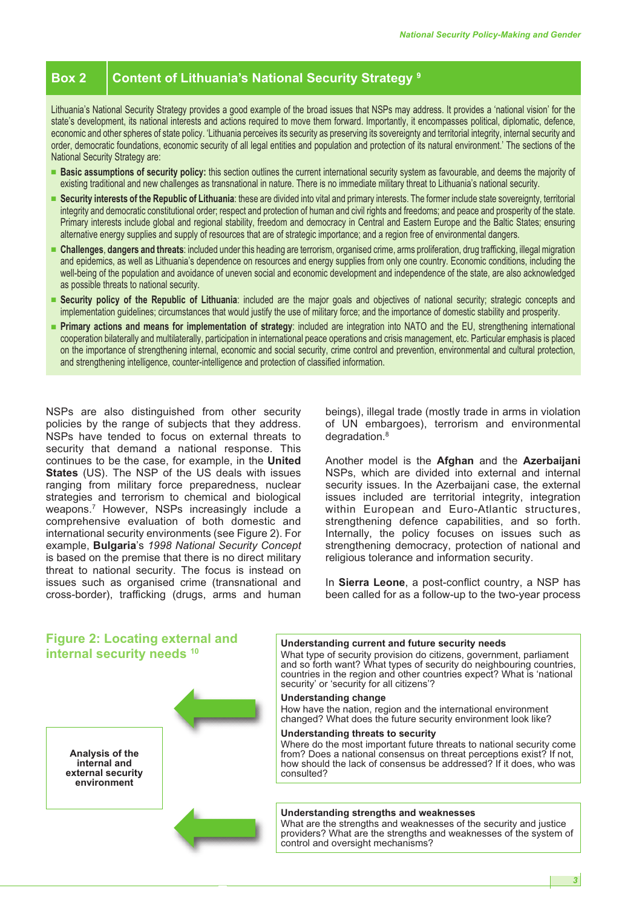# **Box 2 Content of Lithuania's National Security Strategy <sup>9</sup>**

Lithuania's National Security Strategy provides a good example of the broad issues that NSPs may address. It provides a 'national vision' for the state's development, its national interests and actions required to move them forward. Importantly, it encompasses political, diplomatic, defence, economic and other spheres of state policy. 'Lithuania perceives its security as preserving its sovereignty and territorial integrity, internal security and order, democratic foundations, economic security of all legal entities and population and protection of its natural environment.' The sections of the National Security Strategy are:

- **■ Basic assumptions of security policy:** this section outlines the current international security system as favourable, and deems the majority of existing traditional and new challenges as transnational in nature. There is no immediate military threat to Lithuania's national security.
- **■ Security interests of the Republic of Lithuania**: these are divided into vital and primary interests. The former include state sovereignty, territorial integrity and democratic constitutional order; respect and protection of human and civil rights and freedoms; and peace and prosperity of the state. Primary interests include global and regional stability, freedom and democracy in Central and Eastern Europe and the Baltic States; ensuring alternative energy supplies and supply of resources that are of strategic importance; and a region free of environmental dangers.
- **■ Challenges**, **dangers and threats**: included under this heading are terrorism, organised crime, arms proliferation, drug trafficking, illegal migration and epidemics, as well as Lithuania's dependence on resources and energy supplies from only one country. Economic conditions, including the well-being of the population and avoidance of uneven social and economic development and independence of the state, are also acknowledged as possible threats to national security.
- **■ Security policy of the Republic of Lithuania**: included are the major goals and objectives of national security; strategic concepts and implementation guidelines; circumstances that would justify the use of military force; and the importance of domestic stability and prosperity.
- **■ Primary actions and means for implementation of strategy**: included are integration into NATO and the EU, strengthening international cooperation bilaterally and multilaterally, participation in international peace operations and crisis management, etc. Particular emphasis is placed on the importance of strengthening internal, economic and social security, crime control and prevention, environmental and cultural protection, and strengthening intelligence, counter-intelligence and protection of classified information.

NSPs are also distinguished from other security policies by the range of subjects that they address. NSPs have tended to focus on external threats to security that demand a national response. This continues to be the case, for example, in the **United States** (US). The NSP of the US deals with issues ranging from military force preparedness, nuclear strategies and terrorism to chemical and biological weapons. <sup>7</sup> However, NSPs increasingly include a comprehensive evaluation of both domestic and international security environments (see Figure 2). For example, **Bulgaria**'s *1998 National Security Concept* is based on the premise that there is no direct military threat to national security. The focus is instead on issues such as organised crime (transnational and cross-border), trafficking (drugs, arms and human beings), illegal trade (mostly trade in arms in violation of UN embargoes), terrorism and environmental degradation. 8

Another model is the **Afghan** and the **Azerbaijani** NSPs, which are divided into external and internal security issues. In the Azerbaijani case, the external issues included are territorial integrity, integration within European and Euro-Atlantic structures, strengthening defence capabilities, and so forth. Internally, the policy focuses on issues such as strengthening democracy, protection of national and religious tolerance and information security.

In **Sierra Leone**, a post-conflict country, a NSP has been called for as a follow-up to the two-year process

# **Figure 2: Locating external and internal security needs <sup>10</sup>**

**Analysis of the internal and external security environment**



#### **Understanding current and future security needs**

What type of security provision do citizens, government, parliament and so forth want? What types of security do neighbouring countries, countries in the region and other countries expect? What is 'national security' or 'security for all citizens'?

#### **Understanding change**

How have the nation, region and the international environment changed? What does the future security environment look like?

#### **Understanding threats to security**

Where do the most important future threats to national security come from? Does a national consensus on threat perceptions exist? If not, how should the lack of consensus be addressed? If it does, who was consulted?

#### **Understanding strengths and weaknesses**

What are the strengths and weaknesses of the security and justice providers? What are the strengths and weaknesses of the system of control and oversight mechanisms?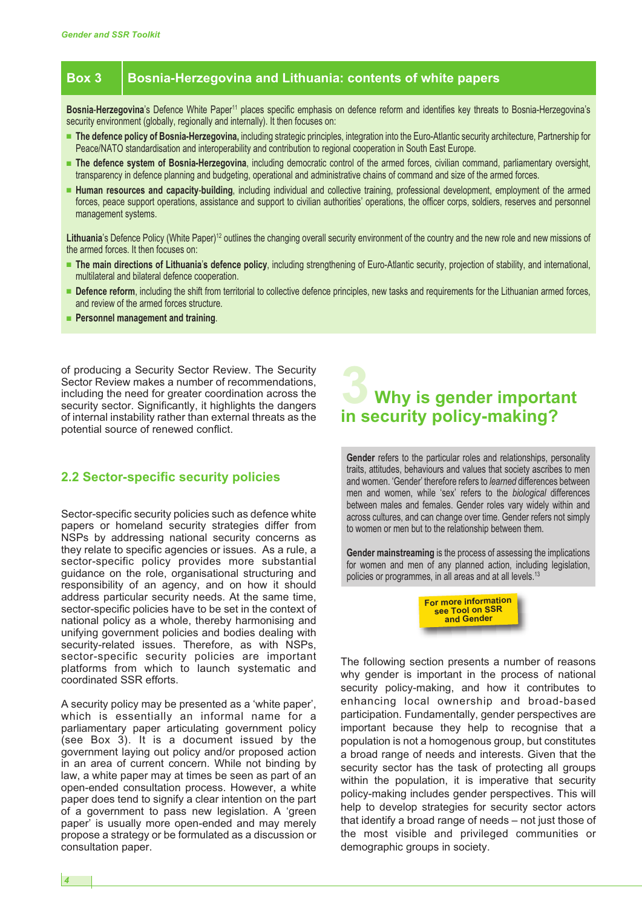# **Box 3 Bosnia-Herzegovina and Lithuania: contents of white papers**

**Bosnia**-**Herzegovina**'s Defence White Paper<sup>11</sup> places specific emphasis on defence reform and identifies key threats to Bosnia-Herzegovina's security environment (globally, regionally and internally). It then focuses on:

- **■ The defence policy of Bosnia-Herzegovina,** including strategic principles, integration into the Euro-Atlantic security architecture, Partnership for Peace/NATO standardisation and interoperability and contribution to regional cooperation in South East Europe.
- **■ The defence system of Bosnia-Herzegovina**, including democratic control of the armed forces, civilian command, parliamentary oversight, transparency in defence planning and budgeting, operational and administrative chains of command and size of the armed forces.
- **■ Human resources and capacity**-**building**, including individual and collective training, professional development, employment of the armed forces, peace support operations, assistance and support to civilian authorities' operations, the officer corps, soldiers, reserves and personnel management systems.

Lithuania's Defence Policy (White Paper)<sup>12</sup> outlines the changing overall security environment of the country and the new role and new missions of the armed forces. It then focuses on:

- **■ The main directions of Lithuania**'**s defence policy**, including strengthening of Euro-Atlantic security, projection of stability, and international, multilateral and bilateral defence cooperation.
- **■ Defence reform**, including the shift from territorial to collective defence principles, new tasks and requirements for the Lithuanian armed forces, and review of the armed forces structure.
- **■ Personnel management and training**.

of producing a Security Sector Review. The Security Sector Review makes a number of recommendations, including the need for greater coordination across the security sector. Significantly, it highlights the dangers of internal instability rather than external threats as the potential source of renewed conflict.

# **2.2 Sector-specific security policies**

Sector-specific security policies such as defence white papers or homeland security strategies differ from NSPs by addressing national security concerns as they relate to specific agencies or issues. As a rule, a sector-specific policy provides more substantial guidance on the role, organisational structuring and responsibility of an agency, and on how it should address particular security needs. At the same time, sector-specific policies have to be set in the context of national policy as a whole, thereby harmonising and unifying government policies and bodies dealing with security-related issues. Therefore, as with NSPs, sector-specific security policies are important platforms from which to launch systematic and coordinated SSR efforts.

A security policy may be presented as a 'white paper', which is essentially an informal name for a parliamentary paper articulating government policy (see Box 3). It is a document issued by the government laying out policy and/or proposed action in an area of current concern. While not binding by law, a white paper may at times be seen as part of an open-ended consultation process. However, a white paper does tend to signify a clear intention on the part of a government to pass new legislation. A 'green paper' is usually more open-ended and may merely propose a strategy or be formulated as a discussion or consultation paper.

# **3 Why is gender important in security policy-making?**

**Gender** refers to the particular roles and relationships, personality traits, attitudes, behaviours and values that society ascribes to men and women. 'Gender' therefore refers to *learned* differences between men and women, while 'sex' refers to the *biological* differences between males and females. Gender roles vary widely within and across cultures, and can change over time. Gender refers not simply to women or men but to the relationship between them.

**Gender mainstreaming** is the process of assessing the implications for women and men of any planned action, including legislation, policies or programmes, in all areas and at all levels. 13



The following section presents a number of reasons why gender is important in the process of national security policy-making, and how it contributes to enhancing local ownership and broad-based participation. Fundamentally, gender perspectives are important because they help to recognise that a population is not a homogenous group, but constitutes a broad range of needs and interests. Given that the security sector has the task of protecting all groups within the population, it is imperative that security policy-making includes gender perspectives. This will help to develop strategies for security sector actors that identify a broad range of needs – not just those of the most visible and privileged communities or demographic groups in society.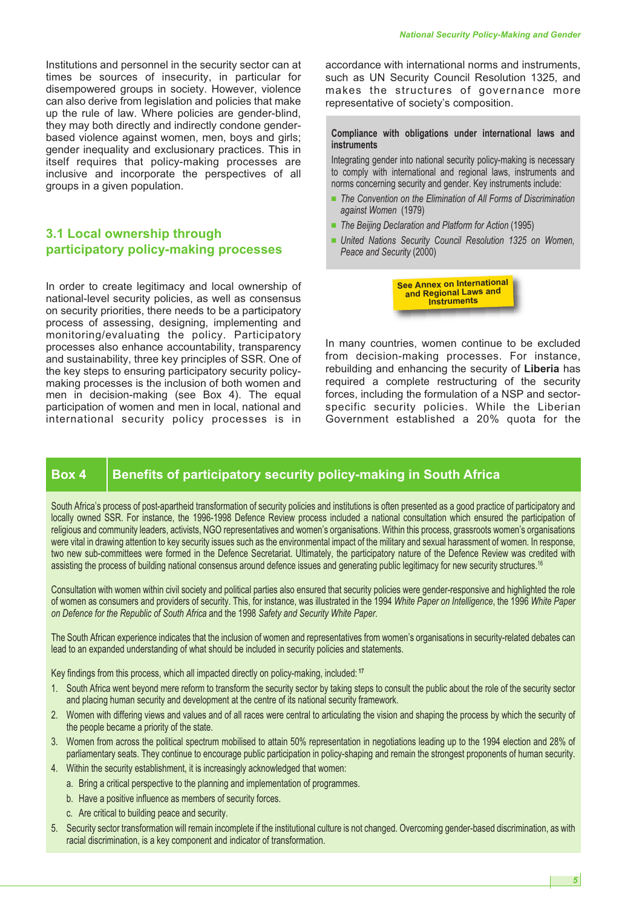Institutions and personnel in the security sector can at times be sources of insecurity, in particular for disempowered groups in society. However, violence can also derive from legislation and policies that make up the rule of law. Where policies are gender-blind, they may both directly and indirectly condone genderbased violence against women, men, boys and girls; gender inequality and exclusionary practices. This in itself requires that policy-making processes are inclusive and incorporate the perspectives of all groups in a given population.

# **3.1 Local ownership through participatory policy-making processes**

In order to create legitimacy and local ownership of national-level security policies, as well as consensus on security priorities, there needs to be a participatory process of assessing, designing, implementing and monitoring/evaluating the policy. Participatory processes also enhance accountability, transparency and sustainability, three key principles of SSR. One of the key steps to ensuring participatory security policymaking processes is the inclusion of both women and men in decision-making (see Box 4). The equal participation of women and men in local, national and international security policy processes is in accordance with international norms and instruments, such as UN Security Council Resolution 1325, and makes the structures of governance more representative of society's composition.

#### **Compliance with obligations under international laws and instruments**

Integrating gender into national security policy-making is necessary to comply with international and regional laws, instruments and norms concerning security and gender. Key instruments include:

- **■** *The Convention on the Elimination of All Forms of Discrimination against Women* (1979)
- *The Beijing Declaration and Platform for Action* (1995)
- **■** *United Nations Security Council Resolution 1325 on Women, Peace and Security* (2000)

**See Annex on International and Regional Laws and Instruments**

In many countries, women continue to be excluded from decision-making processes. For instance, rebuilding and enhancing the security of **Liberia** has required a complete restructuring of the security forces, including the formulation of a NSP and sectorspecific security policies. While the Liberian Government established a 20% quota for the

# **Box 4 Benefits of participatory security policy-making in South Africa**

South Africa's process of post-apartheid transformation of security policies and institutions is often presented as a good practice of participatory and locally owned SSR. For instance, the 1996-1998 Defence Review process included a national consultation which ensured the participation of religious and community leaders, activists, NGO representatives and women's organisations. Within this process, grassroots women's organisations were vital in drawing attention to key security issues such as the environmental impact of the military and sexual harassment of women. In response, two new sub-committees were formed in the Defence Secretariat. Ultimately, the participatory nature of the Defence Review was credited with assisting the process of building national consensus around defence issues and generating public legitimacy for new security structures. 16

Consultation with women within civil society and political parties also ensured that security policies were gender-responsive and highlighted the role of women as consumers and providers of security. This, for instance, was illustrated in the 1994 *White Paper on Intelligence*, the 1996 *White Paper on Defence for the Republic of South Africa* and the 1998 *Safety and Security White Paper*.

The South African experience indicates that the inclusion of women and representatives from women's organisations in security-related debates can lead to an expanded understanding of what should be included in security policies and statements.

Key findings from this process, which all impacted directly on policy-making, included: **<sup>17</sup>**

- 1. South Africa went beyond mere reform to transform the security sector by taking steps to consult the public about the role of the security sector and placing human security and development at the centre of its national security framework.
- 2. Women with differing views and values and of all races were central to articulating the vision and shaping the process by which the security of the people became a priority of the state.
- 3. Women from across the political spectrum mobilised to attain 50% representation in negotiations leading up to the 1994 election and 28% of parliamentary seats. They continue to encourage public participation in policy-shaping and remain the strongest proponents of human security.
- 4. Within the security establishment, it is increasingly acknowledged that women:
	- a. Bring a critical perspective to the planning and implementation of programmes.
	- b. Have a positive influence as members of security forces.
	- c. Are critical to building peace and security.
- 5. Security sector transformation will remain incomplete if the institutional culture is not changed. Overcoming gender-based discrimination, as with racial discrimination, is a key component and indicator of transformation.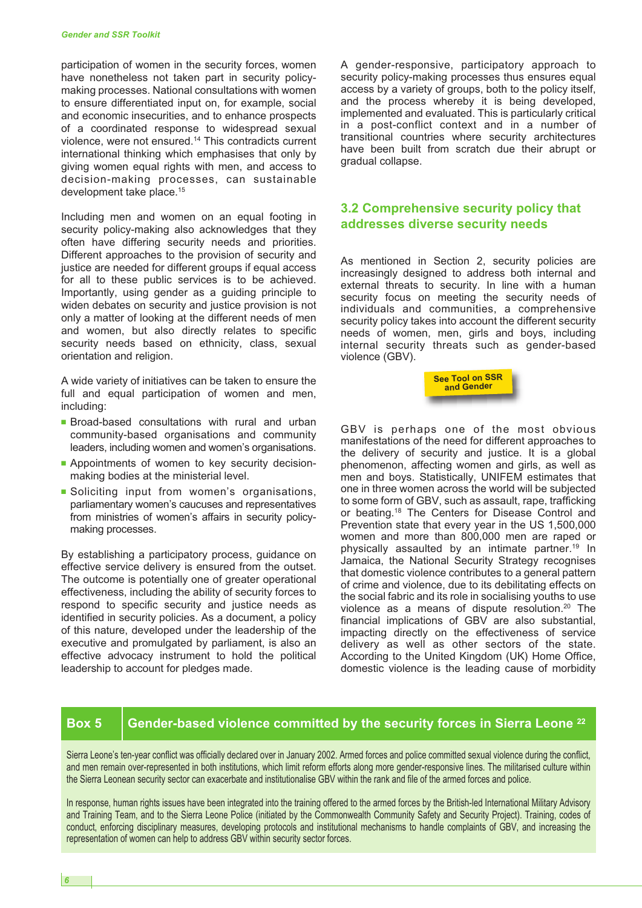participation of women in the security forces, women have nonetheless not taken part in security policymaking processes. National consultations with women to ensure differentiated input on, for example, social and economic insecurities, and to enhance prospects of a coordinated response to widespread sexual violence, were not ensured. <sup>14</sup> This contradicts current international thinking which emphasises that only by giving women equal rights with men, and access to decision-making processes, can sustainable development take place. 15

Including men and women on an equal footing in security policy-making also acknowledges that they often have differing security needs and priorities. Different approaches to the provision of security and justice are needed for different groups if equal access for all to these public services is to be achieved. Importantly, using gender as a guiding principle to widen debates on security and justice provision is not only a matter of looking at the different needs of men and women, but also directly relates to specific security needs based on ethnicity, class, sexual orientation and religion.

A wide variety of initiatives can be taken to ensure the full and equal participation of women and men, including:

- **■** Broad-based consultations with rural and urban community-based organisations and community leaders, including women and women's organisations.
- **■** Appointments of women to key security decisionmaking bodies at the ministerial level.
- **■** Soliciting input from women's organisations, parliamentary women's caucuses and representatives from ministries of women's affairs in security policymaking processes.

By establishing a participatory process, guidance on effective service delivery is ensured from the outset. The outcome is potentially one of greater operational effectiveness, including the ability of security forces to respond to specific security and justice needs as identified in security policies. As a document, a policy of this nature, developed under the leadership of the executive and promulgated by parliament, is also an effective advocacy instrument to hold the political leadership to account for pledges made.

A gender-responsive, participatory approach to security policy-making processes thus ensures equal access by a variety of groups, both to the policy itself, and the process whereby it is being developed, implemented and evaluated. This is particularly critical in a post-conflict context and in a number of transitional countries where security architectures have been built from scratch due their abrupt or gradual collapse.

# **3.2 Comprehensive security policy that addresses diverse security needs**

As mentioned in Section 2, security policies are increasingly designed to address both internal and external threats to security. In line with a human security focus on meeting the security needs of individuals and communities, a comprehensive security policy takes into account the different security needs of women, men, girls and boys, including internal security threats such as gender-based violence (GBV).



GBV is perhaps one of the most obvious manifestations of the need for different approaches to the delivery of security and justice. It is a global phenomenon, affecting women and girls, as well as men and boys. Statistically, UNIFEM estimates that one in three women across the world will be subjected to some form of GBV, such as assault, rape, trafficking or beating. <sup>18</sup> The Centers for Disease Control and Prevention state that every year in the US 1,500,000 women and more than 800,000 men are raped or physically assaulted by an intimate partner. <sup>19</sup> In Jamaica, the National Security Strategy recognises that domestic violence contributes to a general pattern of crime and violence, due to its debilitating effects on the social fabric and its role in socialising youths to use violence as a means of dispute resolution. <sup>20</sup> The financial implications of GBV are also substantial, impacting directly on the effectiveness of service delivery as well as other sectors of the state. According to the United Kingdom (UK) Home Office, domestic violence is the leading cause of morbidity

# **Box 5 Gender-based violence committed by the security forces in Sierra Leone <sup>22</sup>**

Sierra Leone's ten-year conflict was officially declared over in January 2002. Armed forces and police committed sexual violence during the conflict, and men remain over-represented in both institutions, which limit reform efforts along more gender-responsive lines. The militarised culture within the Sierra Leonean security sector can exacerbate and institutionalise GBV within the rank and file of the armed forces and police.

In response, human rights issues have been integrated into the training offered to the armed forces by the British-led International Military Advisory and Training Team, and to the Sierra Leone Police (initiated by the Commonwealth Community Safety and Security Project). Training, codes of conduct, enforcing disciplinary measures, developing protocols and institutional mechanisms to handle complaints of GBV, and increasing the representation of women can help to address GBV within security sector forces.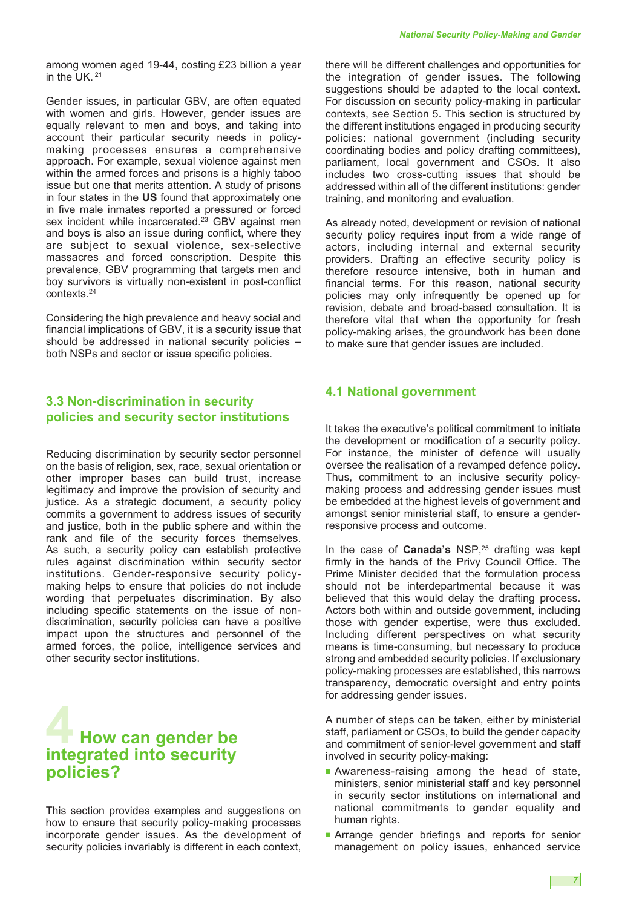among women aged 19-44, costing £23 billion a year in the UK. <sup>21</sup>

Gender issues, in particular GBV, are often equated with women and girls. However, gender issues are equally relevant to men and boys, and taking into account their particular security needs in policymaking processes ensures a comprehensive approach. For example, sexual violence against men within the armed forces and prisons is a highly taboo issue but one that merits attention. A study of prisons in four states in the **US** found that approximately one in five male inmates reported a pressured or forced sex incident while incarcerated.<sup>23</sup> GBV against men and boys is also an issue during conflict, where they are subject to sexual violence, sex-selective massacres and forced conscription. Despite this prevalence, GBV programming that targets men and boy survivors is virtually non-existent in post-conflict contexts. 24

Considering the high prevalence and heavy social and financial implications of GBV, it is a security issue that should be addressed in national security policies – both NSPs and sector or issue specific policies.

# **3.3 Non-discrimination in security policies and security sector institutions**

Reducing discrimination by security sector personnel on the basis of religion, sex, race, sexual orientation or other improper bases can build trust, increase legitimacy and improve the provision of security and justice. As a strategic document, a security policy commits a government to address issues of security and justice, both in the public sphere and within the rank and file of the security forces themselves. As such, a security policy can establish protective rules against discrimination within security sector institutions. Gender-responsive security policymaking helps to ensure that policies do not include wording that perpetuates discrimination. By also including specific statements on the issue of nondiscrimination, security policies can have a positive impact upon the structures and personnel of the armed forces, the police, intelligence services and other security sector institutions.

# **4 How can gender be integrated into security policies?**

This section provides examples and suggestions on how to ensure that security policy-making processes incorporate gender issues. As the development of security policies invariably is different in each context,

there will be different challenges and opportunities for the integration of gender issues. The following suggestions should be adapted to the local context. For discussion on security policy-making in particular contexts, see Section 5. This section is structured by the different institutions engaged in producing security policies: national government (including security coordinating bodies and policy drafting committees), parliament, local government and CSOs. It also includes two cross-cutting issues that should be addressed within all of the different institutions: gender training, and monitoring and evaluation.

As already noted, development or revision of national security policy requires input from a wide range of actors, including internal and external security providers. Drafting an effective security policy is therefore resource intensive, both in human and financial terms. For this reason, national security policies may only infrequently be opened up for revision, debate and broad-based consultation. It is therefore vital that when the opportunity for fresh policy-making arises, the groundwork has been done to make sure that gender issues are included.

## **4.1 National government**

It takes the executive's political commitment to initiate the development or modification of a security policy. For instance, the minister of defence will usually oversee the realisation of a revamped defence policy. Thus, commitment to an inclusive security policymaking process and addressing gender issues must be embedded at the highest levels of government and amongst senior ministerial staff, to ensure a genderresponsive process and outcome.

In the case of **Canada's** NSP, <sup>25</sup> drafting was kept firmly in the hands of the Privy Council Office. The Prime Minister decided that the formulation process should not be interdepartmental because it was believed that this would delay the drafting process. Actors both within and outside government, including those with gender expertise, were thus excluded. Including different perspectives on what security means is time-consuming, but necessary to produce strong and embedded security policies. If exclusionary policy-making processes are established, this narrows transparency, democratic oversight and entry points for addressing gender issues.

A number of steps can be taken, either by ministerial staff, parliament or CSOs, to build the gender capacity and commitment of senior-level government and staff involved in security policy-making:

- **■** Awareness-raising among the head of state, ministers, senior ministerial staff and key personnel in security sector institutions on international and national commitments to gender equality and human rights.
- **■** Arrange gender briefings and reports for senior management on policy issues, enhanced service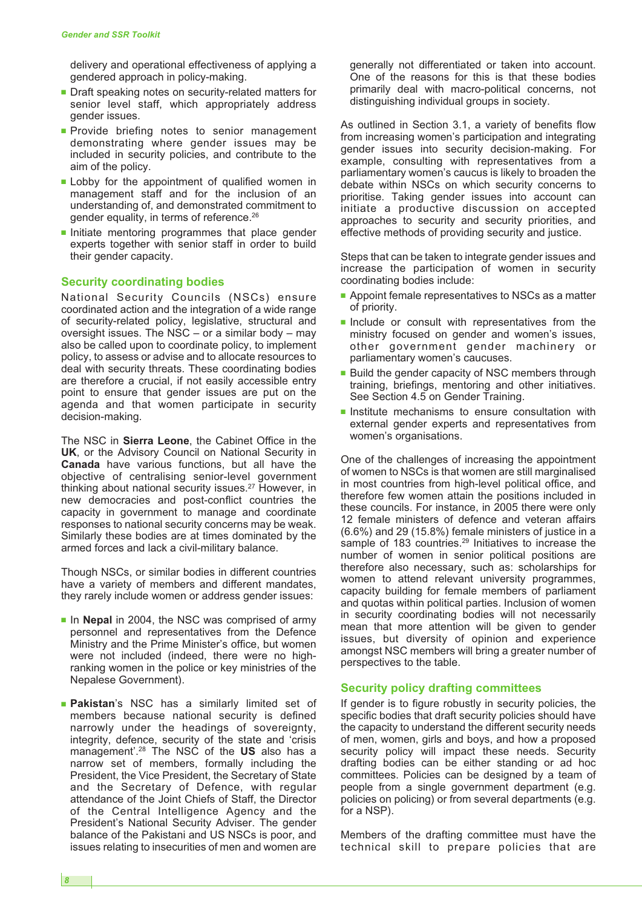delivery and operational effectiveness of applying a gendered approach in policy-making.

- Draft speaking notes on security-related matters for senior level staff, which appropriately address gender issues.
- **■** Provide briefing notes to senior management demonstrating where gender issues may be included in security policies, and contribute to the aim of the policy.
- **■** Lobby for the appointment of qualified women in management staff and for the inclusion of an understanding of, and demonstrated commitment to gender equality, in terms of reference.<sup>26</sup>
- **■** Initiate mentoring programmes that place gender experts together with senior staff in order to build their gender capacity.

#### **Security coordinating bodies**

National Security Councils (NSCs) ensure coordinated action and the integration of a wide range of security-related policy, legislative, structural and oversight issues. The  $NSC - or a$  similar body – may also be called upon to coordinate policy, to implement policy, to assess or advise and to allocate resources to deal with security threats. These coordinating bodies are therefore a crucial, if not easily accessible entry point to ensure that gender issues are put on the agenda and that women participate in security decision-making.

The NSC in **Sierra Leone**, the Cabinet Office in the **UK**, or the Advisory Council on National Security in **Canada** have various functions, but all have the objective of centralising senior-level government thinking about national security issues. <sup>27</sup> However, in new democracies and post-conflict countries the capacity in government to manage and coordinate responses to national security concerns may be weak. Similarly these bodies are at times dominated by the armed forces and lack a civil-military balance.

Though NSCs, or similar bodies in different countries have a variety of members and different mandates, they rarely include women or address gender issues:

- In **Nepal** in 2004, the NSC was comprised of army personnel and representatives from the Defence Ministry and the Prime Minister's office, but women were not included (indeed, there were no highranking women in the police or key ministries of the Nepalese Government).
- **■ Pakistan**'s NSC has a similarly limited set of members because national security is defined narrowly under the headings of sovereignty, integrity, defence, security of the state and 'crisis management'. <sup>28</sup> The NSC of the **US** also has a narrow set of members, formally including the President, the Vice President, the Secretary of State and the Secretary of Defence, with regular attendance of the Joint Chiefs of Staff, the Director of the Central Intelligence Agency and the President's National Security Adviser. The gender balance of the Pakistani and US NSCs is poor, and issues relating to insecurities of men and women are

generally not differentiated or taken into account. One of the reasons for this is that these bodies primarily deal with macro-political concerns, not distinguishing individual groups in society.

As outlined in Section 3.1, a variety of benefits flow from increasing women's participation and integrating gender issues into security decision-making. For example, consulting with representatives from a parliamentary women's caucus is likely to broaden the debate within NSCs on which security concerns to prioritise. Taking gender issues into account can initiate a productive discussion on accepted approaches to security and security priorities, and effective methods of providing security and justice.

Steps that can be taken to integrate gender issues and increase the participation of women in security coordinating bodies include:

- Appoint female representatives to NSCs as a matter of priority.
- **■** Include or consult with representatives from the ministry focused on gender and women's issues, other government gender machinery or parliamentary women's caucuses.
- Build the gender capacity of NSC members through training, briefings, mentoring and other initiatives. See Section 4.5 on Gender Training.
- Institute mechanisms to ensure consultation with external gender experts and representatives from women's organisations.

One of the challenges of increasing the appointment of women to NSCs is that women are still marginalised in most countries from high-level political office, and therefore few women attain the positions included in these councils. For instance, in 2005 there were only 12 female ministers of defence and veteran affairs (6.6%) and 29 (15.8%) female ministers of justice in a sample of 183 countries.<sup>29</sup> Initiatives to increase the number of women in senior political positions are therefore also necessary, such as: scholarships for women to attend relevant university programmes, capacity building for female members of parliament and quotas within political parties. Inclusion of women in security coordinating bodies will not necessarily mean that more attention will be given to gender issues, but diversity of opinion and experience amongst NSC members will bring a greater number of perspectives to the table.

#### **Security policy drafting committees**

If gender is to figure robustly in security policies, the specific bodies that draft security policies should have the capacity to understand the different security needs of men, women, girls and boys, and how a proposed security policy will impact these needs. Security drafting bodies can be either standing or ad hoc committees. Policies can be designed by a team of people from a single government department (e.g. policies on policing) or from several departments (e.g. for a NSP).

Members of the drafting committee must have the technical skill to prepare policies that are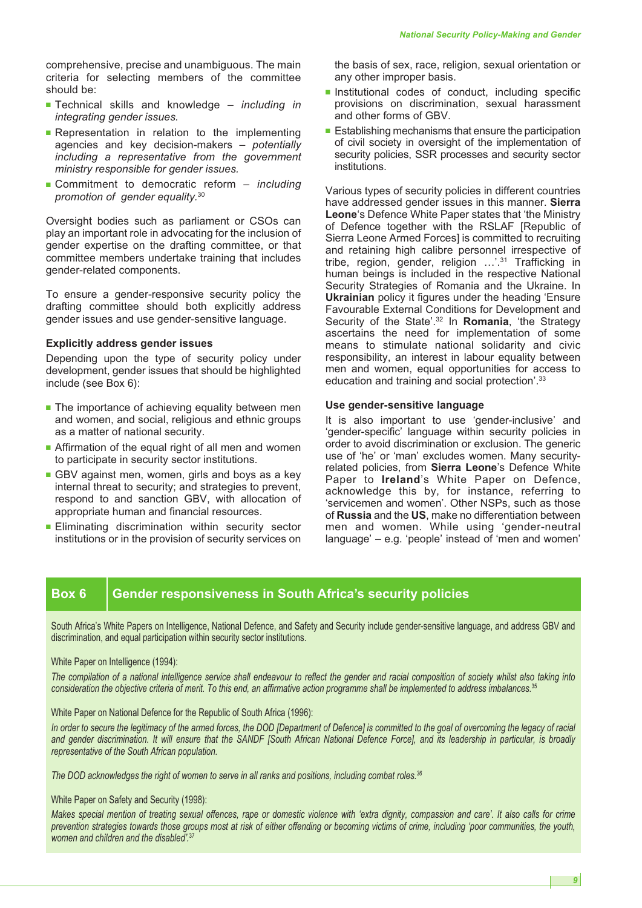comprehensive, precise and unambiguous. The main criteria for selecting members of the committee should be:

- **■** Technical skills and knowledge *including in integrating gender issues.*
- **■** Representation in relation to the implementing agencies and key decision-makers – *potentially including a representative from the government ministry responsible for gender issues.*
- **■** Commitment to democratic reform *including promotion of gender equality.* 30

Oversight bodies such as parliament or CSOs can play an important role in advocating for the inclusion of gender expertise on the drafting committee, or that committee members undertake training that includes gender-related components.

To ensure a gender-responsive security policy the drafting committee should both explicitly address gender issues and use gender-sensitive language.

#### **Explicitly address gender issues**

Depending upon the type of security policy under development, gender issues that should be highlighted include (see Box 6):

- The importance of achieving equality between men and women, and social, religious and ethnic groups as a matter of national security.
- Affirmation of the equal right of all men and women to participate in security sector institutions.
- GBV against men, women, girls and boys as a key internal threat to security; and strategies to prevent, respond to and sanction GBV, with allocation of appropriate human and financial resources.
- **■** Eliminating discrimination within security sector institutions or in the provision of security services on

the basis of sex, race, religion, sexual orientation or any other improper basis.

- **■** Institutional codes of conduct, including specific provisions on discrimination, sexual harassment and other forms of GBV.
- Establishing mechanisms that ensure the participation of civil society in oversight of the implementation of security policies, SSR processes and security sector institutions.

Various types of security policies in different countries have addressed gender issues in this manner. **Sierra Leone**'s Defence White Paper states that 'the Ministry of Defence together with the RSLAF [Republic of Sierra Leone Armed Forces] is committed to recruiting and retaining high calibre personnel irrespective of tribe, region, gender, religion …'. <sup>31</sup> Trafficking in human beings is included in the respective National Security Strategies of Romania and the Ukraine. In **Ukrainian** policy it figures under the heading 'Ensure Favourable External Conditions for Development and Security of the State'. <sup>32</sup> In **Romania**, 'the Strategy ascertains the need for implementation of some means to stimulate national solidarity and civic responsibility, an interest in labour equality between men and women, equal opportunities for access to education and training and social protection'.<sup>33</sup>

#### **Use gender-sensitive language**

It is also important to use 'gender-inclusive' and 'gender-specific' language within security policies in order to avoid discrimination or exclusion. The generic use of 'he' or 'man' excludes women. Many securityrelated policies, from **Sierra Leone**'s Defence White Paper to **Ireland**'s White Paper on Defence, acknowledge this by, for instance, referring to 'servicemen and women'. Other NSPs, such as those of **Russia** and the **US**, make no differentiation between men and women. While using 'gender-neutral language' – e.g. 'people' instead of 'men and women'

# **Box 6 Gender responsiveness in South Africa's security policies**

South Africa's White Papers on Intelligence, National Defence, and Safety and Security include gender-sensitive language, and address GBV and discrimination, and equal participation within security sector institutions.

#### White Paper on Intelligence (1994):

The compilation of a national intelligence service shall endeavour to reflect the gender and racial composition of society whilst also taking into consideration the objective criteria of merit. To this end, an affirmative action programme shall be implemented to address imbalances.<sup>35</sup>

White Paper on National Defence for the Republic of South Africa (1996):

In order to secure the legitimacy of the armed forces, the DOD [Department of Defence] is committed to the goal of overcoming the legacy of racial and gender discrimination. It will ensure that the SANDF [South African National Defence Force], and its leadership in particular, is broadly *representative of the South African population.*

<sup>38</sup>. The DOD acknowledges the right of women to serve in all ranks and positions, including combat roles.

White Paper on Safety and Security (1998):

Makes special mention of treating sexual offences, rape or domestic violence with 'extra dignity, compassion and care'. It also calls for crime prevention strategies towards those groups most at risk of either offending or becoming victims of crime, including 'poor communities, the youth, *women and children and the disabled'.* 37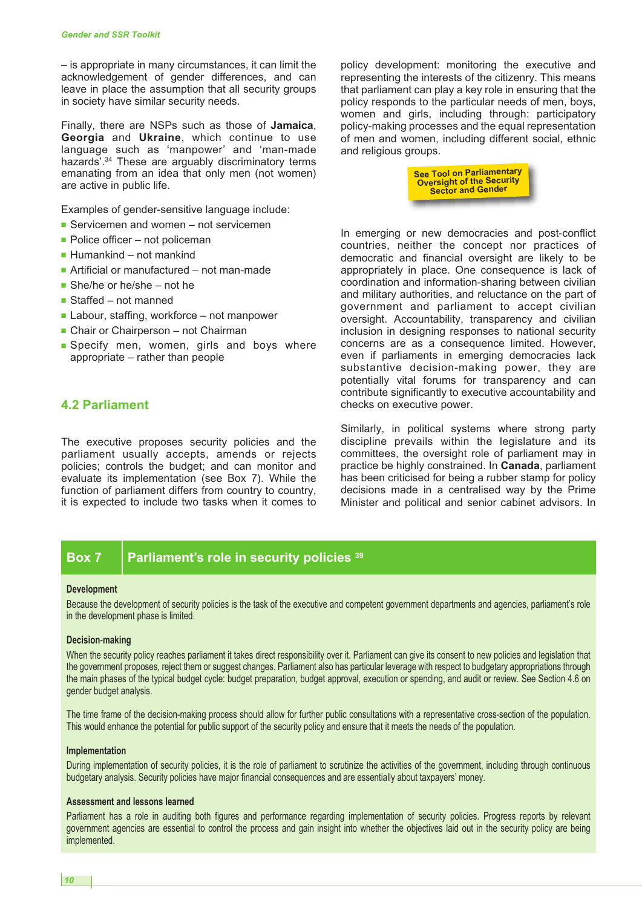– is appropriate in many circumstances, it can limit the acknowledgement of gender differences, and can leave in place the assumption that all security groups in society have similar security needs.

Finally, there are NSPs such as those of **Jamaica**, **Georgia** and **Ukraine**, which continue to use language such as 'manpower' and 'man-made hazards'. <sup>34</sup> These are arguably discriminatory terms emanating from an idea that only men (not women) are active in public life.

Examples of gender-sensitive language include:

- Servicemen and women not servicemen
- Police officer not policeman
- Humankind not mankind
- **■** Artificial or manufactured not man-made
- She/he or he/she not he
- **■** Staffed not manned
- **■** Labour, staffing, workforce not manpower
- Chair or Chairperson not Chairman
- **■** Specify men, women, girls and boys where appropriate – rather than people

## **4.2 Parliament**

The executive proposes security policies and the parliament usually accepts, amends or rejects policies; controls the budget; and can monitor and evaluate its implementation (see Box 7). While the function of parliament differs from country to country, it is expected to include two tasks when it comes to policy development: monitoring the executive and representing the interests of the citizenry. This means that parliament can play a key role in ensuring that the policy responds to the particular needs of men, boys, women and girls, including through: participatory policy-making processes and the equal representation of men and women, including different social, ethnic and religious groups.



In emerging or new democracies and post-conflict countries, neither the concept nor practices of democratic and financial oversight are likely to be appropriately in place. One consequence is lack of coordination and information-sharing between civilian and military authorities, and reluctance on the part of government and parliament to accept civilian oversight. Accountability, transparency and civilian inclusion in designing responses to national security concerns are as a consequence limited. However, even if parliaments in emerging democracies lack substantive decision-making power, they are potentially vital forums for transparency and can contribute significantly to executive accountability and checks on executive power.

Similarly, in political systems where strong party discipline prevails within the legislature and its committees, the oversight role of parliament may in practice be highly constrained. In **Canada**, parliament has been criticised for being a rubber stamp for policy decisions made in a centralised way by the Prime Minister and political and senior cabinet advisors. In

## **Box 7 Parliament's role in security policies <sup>39</sup>**

#### **Development**

Because the development of security policies is the task of the executive and competent government departments and agencies, parliament's role in the development phase is limited.

#### **Decision**-**making**

When the security policy reaches parliament it takes direct responsibility over it. Parliament can give its consent to new policies and legislation that the government proposes, reject them or suggest changes. Parliament also has particular leverage with respect to budgetary appropriations through the main phases of the typical budget cycle: budget preparation, budget approval, execution or spending, and audit or review. See Section 4.6 on gender budget analysis.

The time frame of the decision-making process should allow for further public consultations with a representative cross-section of the population. This would enhance the potential for public support of the security policy and ensure that it meets the needs of the population.

#### **Implementation**

During implementation of security policies, it is the role of parliament to scrutinize the activities of the government, including through continuous budgetary analysis. Security policies have major financial consequences and are essentially about taxpayers' money.

#### **Assessment and lessons learned**

Parliament has a role in auditing both figures and performance regarding implementation of security policies. Progress reports by relevant government agencies are essential to control the process and gain insight into whether the objectives laid out in the security policy are being implemented.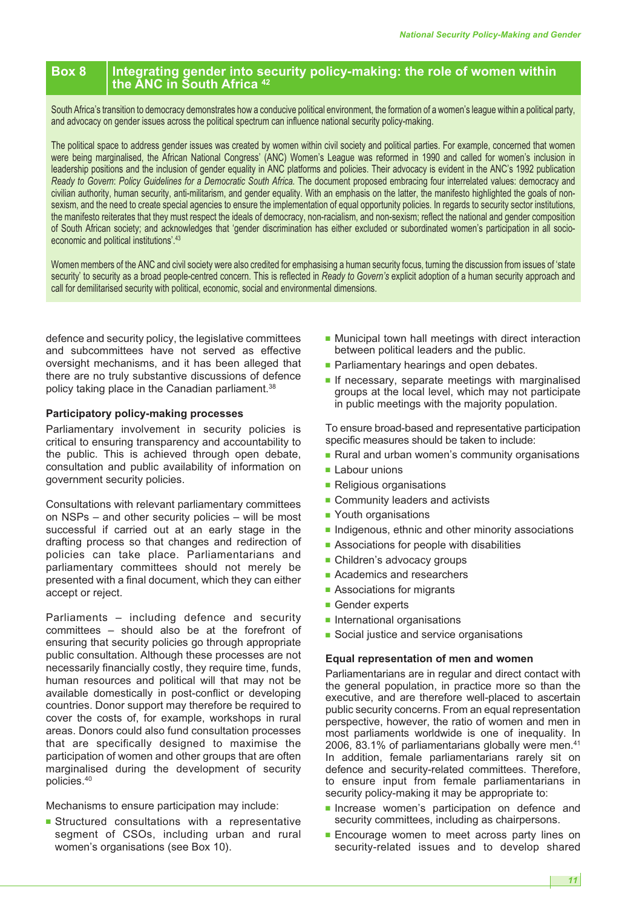## **Box 8 Integrating gender into security policy-making: the role of women within the ANC in South Africa <sup>42</sup>**

South Africa's transition to democracy demonstrates how a conducive political environment, the formation of a women's league within a political party, and advocacy on gender issues across the political spectrum can influence national security policy-making.

The political space to address gender issues was created by women within civil society and political parties. For example, concerned that women were being marginalised, the African National Congress' (ANC) Women's League was reformed in 1990 and called for women's inclusion in leadership positions and the inclusion of gender equality in ANC platforms and policies. Their advocacy is evident in the ANC's 1992 publication *Ready to Govern*: *Policy Guidelines for a Democratic South Africa.* The document proposed embracing four interrelated values: democracy and civilian authority, human security, anti-militarism, and gender equality. With an emphasis on the latter, the manifesto highlighted the goals of nonsexism, and the need to create special agencies to ensure the implementation of equal opportunity policies. In regards to security sector institutions, the manifesto reiterates that they must respect the ideals of democracy, non-racialism, and non-sexism; reflect the national and gender composition of South African society; and acknowledges that 'gender discrimination has either excluded or subordinated women's participation in all socioeconomic and political institutions'. 43

Women members of the ANC and civil society were also credited for emphasising a human security focus, turning the discussion from issues of 'state security' to security as a broad people-centred concern. This is reflected in *Ready to Govern's* explicit adoption of a human security approach and call for demilitarised security with political, economic, social and environmental dimensions.

defence and security policy, the legislative committees and subcommittees have not served as effective oversight mechanisms, and it has been alleged that there are no truly substantive discussions of defence policy taking place in the Canadian parliament. 38

#### **Participatory policy-making processes**

Parliamentary involvement in security policies is critical to ensuring transparency and accountability to the public. This is achieved through open debate, consultation and public availability of information on government security policies.

Consultations with relevant parliamentary committees on NSPs – and other security policies – will be most successful if carried out at an early stage in the drafting process so that changes and redirection of policies can take place. Parliamentarians and parliamentary committees should not merely be presented with a final document, which they can either accept or reject.

Parliaments – including defence and security committees – should also be at the forefront of ensuring that security policies go through appropriate public consultation. Although these processes are not necessarily financially costly, they require time, funds, human resources and political will that may not be available domestically in post-conflict or developing countries. Donor support may therefore be required to cover the costs of, for example, workshops in rural areas. Donors could also fund consultation processes that are specifically designed to maximise the participation of women and other groups that are often marginalised during the development of security policies. 40

Mechanisms to ensure participation may include:

**■** Structured consultations with a representative segment of CSOs, including urban and rural women's organisations (see Box 10).

- Municipal town hall meetings with direct interaction between political leaders and the public.
- Parliamentary hearings and open debates.
- **■** If necessary, separate meetings with marginalised groups at the local level, which may not participate in public meetings with the majority population.

To ensure broad-based and representative participation specific measures should be taken to include:

- Rural and urban women's community organisations
- Labour unions
- Religious organisations
- Community leaders and activists
- Youth organisations
- Indigenous, ethnic and other minority associations
- Associations for people with disabilities
- **■** Children's advocacy groups
- Academics and researchers
- Associations for migrants
- Gender experts
- International organisations
- Social justice and service organisations

#### **Equal representation of men and women**

Parliamentarians are in regular and direct contact with the general population, in practice more so than the executive, and are therefore well-placed to ascertain public security concerns. From an equal representation perspective, however, the ratio of women and men in most parliaments worldwide is one of inequality. In 2006, 83.1% of parliamentarians globally were men. 41 In addition, female parliamentarians rarely sit on defence and security-related committees. Therefore, to ensure input from female parliamentarians in security policy-making it may be appropriate to:

- **■** Increase women's participation on defence and security committees, including as chairpersons.
- Encourage women to meet across party lines on security-related issues and to develop shared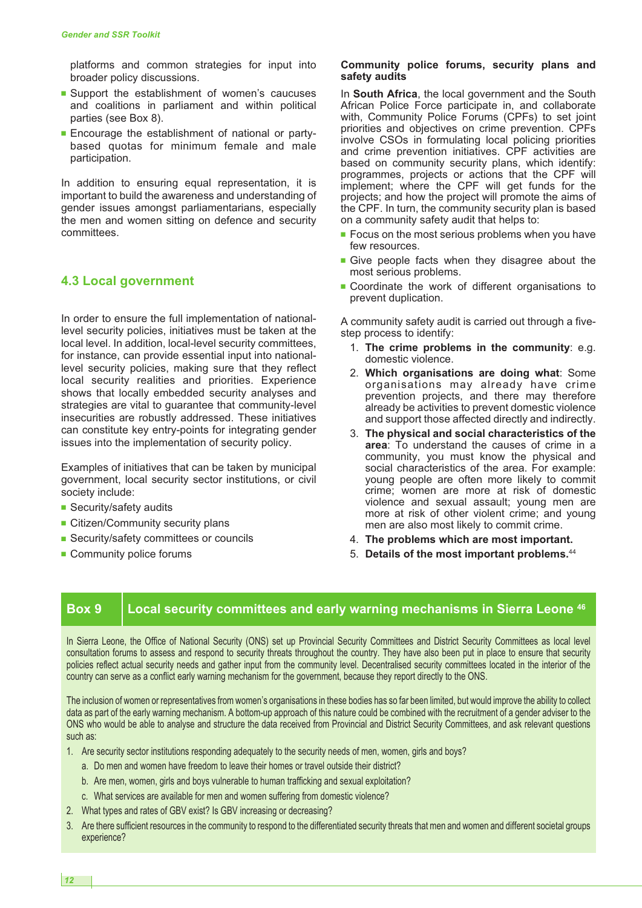platforms and common strategies for input into broader policy discussions.

- Support the establishment of women's caucuses and coalitions in parliament and within political parties (see Box 8).
- **■** Encourage the establishment of national or partybased quotas for minimum female and male participation.

In addition to ensuring equal representation, it is important to build the awareness and understanding of gender issues amongst parliamentarians, especially the men and women sitting on defence and security committees.

#### **4.3 Local government**

In order to ensure the full implementation of nationallevel security policies, initiatives must be taken at the local level. In addition, local-level security committees, for instance, can provide essential input into nationallevel security policies, making sure that they reflect local security realities and priorities. Experience shows that locally embedded security analyses and strategies are vital to guarantee that community-level insecurities are robustly addressed. These initiatives can constitute key entry-points for integrating gender issues into the implementation of security policy.

Examples of initiatives that can be taken by municipal government, local security sector institutions, or civil society include:

- Security/safety audits
- **■** Citizen/Community security plans
- Security/safety committees or councils
- Community police forums

#### **Community police forums, security plans and safety audits**

In **South Africa**, the local government and the South African Police Force participate in, and collaborate with, Community Police Forums (CPFs) to set joint priorities and objectives on crime prevention. CPFs involve CSOs in formulating local policing priorities and crime prevention initiatives. CPF activities are based on community security plans, which identify: programmes, projects or actions that the CPF will implement; where the CPF will get funds for the projects; and how the project will promote the aims of the CPF. In turn, the community security plan is based on a community safety audit that helps to:

- Focus on the most serious problems when you have few resources.
- **■** Give people facts when they disagree about the most serious problems.
- Coordinate the work of different organisations to prevent duplication.

A community safety audit is carried out through a fivestep process to identify:

- 1. **The crime problems in the community**: e.g. domestic violence.
- 2. **Which organisations are doing what**: Some organisations may already have crime prevention projects, and there may therefore already be activities to prevent domestic violence and support those affected directly and indirectly.
- 3. **The physical and social characteristics of the area**: To understand the causes of crime in a community, you must know the physical and social characteristics of the area. For example: young people are often more likely to commit crime; women are more at risk of domestic violence and sexual assault; young men are more at risk of other violent crime; and young men are also most likely to commit crime.
- 4. **The problems which are most important.**
- 5. **Details of the most important problems.** 44

### **Box 9 Local security committees and early warning mechanisms in Sierra Leone <sup>46</sup>**

In Sierra Leone, the Office of National Security (ONS) set up Provincial Security Committees and District Security Committees as local level consultation forums to assess and respond to security threats throughout the country. They have also been put in place to ensure that security policies reflect actual security needs and gather input from the community level. Decentralised security committees located in the interior of the country can serve as a conflict early warning mechanism for the government, because they report directly to the ONS.

The inclusion of women or representatives from women's organisations in these bodies has so far been limited, but would improve the ability to collect data as part of the early warning mechanism. A bottom-up approach of this nature could be combined with the recruitment of a gender adviser to the ONS who would be able to analyse and structure the data received from Provincial and District Security Committees, and ask relevant questions such as:

- 1. Are security sector institutions responding adequately to the security needs of men, women, girls and boys?
	- a. Do men and women have freedom to leave their homes or travel outside their district?
	- b. Are men, women, girls and boys vulnerable to human trafficking and sexual exploitation?
	- c. What services are available for men and women suffering from domestic violence?
- 2. What types and rates of GBV exist? Is GBV increasing or decreasing?
- 3. Are there sufficient resources in the community to respond to the differentiated security threats that men and women and different societal groups experience?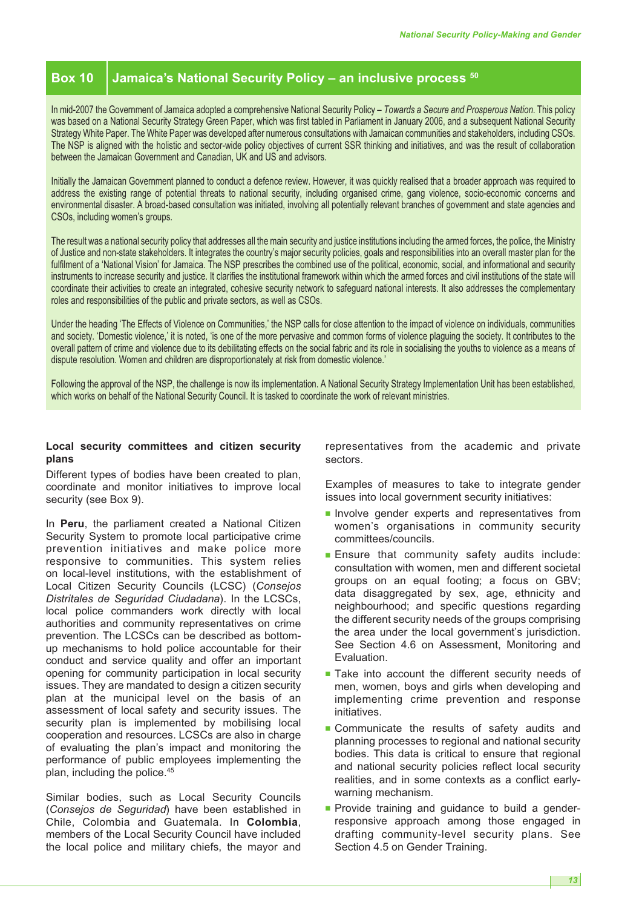# **Box 10 Jamaica's National Security Policy – an inclusive process <sup>50</sup>**

In mid-2007 the Government of Jamaica adopted a comprehensive National Security Policy – *Towards a Secure and Prosperous Nation*. This policy was based on a National Security Strategy Green Paper, which was first tabled in Parliament in January 2006, and a subsequent National Security Strategy White Paper. The White Paper was developed after numerous consultations with Jamaican communities and stakeholders, including CSOs. The NSP is aligned with the holistic and sector-wide policy objectives of current SSR thinking and initiatives, and was the result of collaboration between the Jamaican Government and Canadian, UK and US and advisors.

Initially the Jamaican Government planned to conduct a defence review. However, it was quickly realised that a broader approach was required to address the existing range of potential threats to national security, including organised crime, gang violence, socio-economic concerns and environmental disaster. A broad-based consultation was initiated, involving all potentially relevant branches of government and state agencies and CSOs, including women's groups.

The result was a national security policy that addresses all the main security and justice institutions including the armed forces, the police, the Ministry of Justice and non-state stakeholders. It integrates the country's major security policies, goals and responsibilities into an overall master plan for the fulfilment of a 'National Vision' for Jamaica. The NSP prescribes the combined use of the political, economic, social, and informational and security instruments to increase security and justice. It clarifies the institutional framework within which the armed forces and civil institutions of the state will coordinate their activities to create an integrated, cohesive security network to safeguard national interests. It also addresses the complementary roles and responsibilities of the public and private sectors, as well as CSOs.

Under the heading 'The Effects of Violence on Communities,' the NSP calls for close attention to the impact of violence on individuals, communities and society. 'Domestic violence,' it is noted, 'is one of the more pervasive and common forms of violence plaguing the society. It contributes to the overall pattern of crime and violence due to its debilitating effects on the social fabric and its role in socialising the youths to violence as a means of dispute resolution. Women and children are disproportionately at risk from domestic violence.'

Following the approval of the NSP, the challenge is now its implementation. A National Security Strategy Implementation Unit has been established, which works on behalf of the National Security Council. It is tasked to coordinate the work of relevant ministries.

#### **Local security committees and citizen security plans**

Different types of bodies have been created to plan, coordinate and monitor initiatives to improve local security (see Box 9).

In **Peru**, the parliament created a National Citizen Security System to promote local participative crime prevention initiatives and make police more responsive to communities. This system relies on local-level institutions, with the establishment of Local Citizen Security Councils (LCSC) (*Consejos Distritales de Seguridad Ciudadana*). In the LCSCs, local police commanders work directly with local authorities and community representatives on crime prevention. The LCSCs can be described as bottomup mechanisms to hold police accountable for their conduct and service quality and offer an important opening for community participation in local security issues. They are mandated to design a citizen security plan at the municipal level on the basis of an assessment of local safety and security issues. The security plan is implemented by mobilising local cooperation and resources. LCSCs are also in charge of evaluating the plan's impact and monitoring the performance of public employees implementing the plan, including the police. 45

Similar bodies, such as Local Security Councils (*Consejos de Seguridad*) have been established in Chile, Colombia and Guatemala. In **Colombia**, members of the Local Security Council have included the local police and military chiefs, the mayor and

representatives from the academic and private sectors.

Examples of measures to take to integrate gender issues into local government security initiatives:

- **■** Involve gender experts and representatives from women's organisations in community security committees/councils.
- **Ensure that community safety audits include:** consultation with women, men and different societal groups on an equal footing; a focus on GBV; data disaggregated by sex, age, ethnicity and neighbourhood; and specific questions regarding the different security needs of the groups comprising the area under the local government's jurisdiction. See Section 4.6 on Assessment, Monitoring and Evaluation.
- Take into account the different security needs of men, women, boys and girls when developing and implementing crime prevention and response initiatives.
- Communicate the results of safety audits and planning processes to regional and national security bodies. This data is critical to ensure that regional and national security policies reflect local security realities, and in some contexts as a conflict earlywarning mechanism.
- **■** Provide training and guidance to build a genderresponsive approach among those engaged in drafting community-level security plans. See Section 4.5 on Gender Training.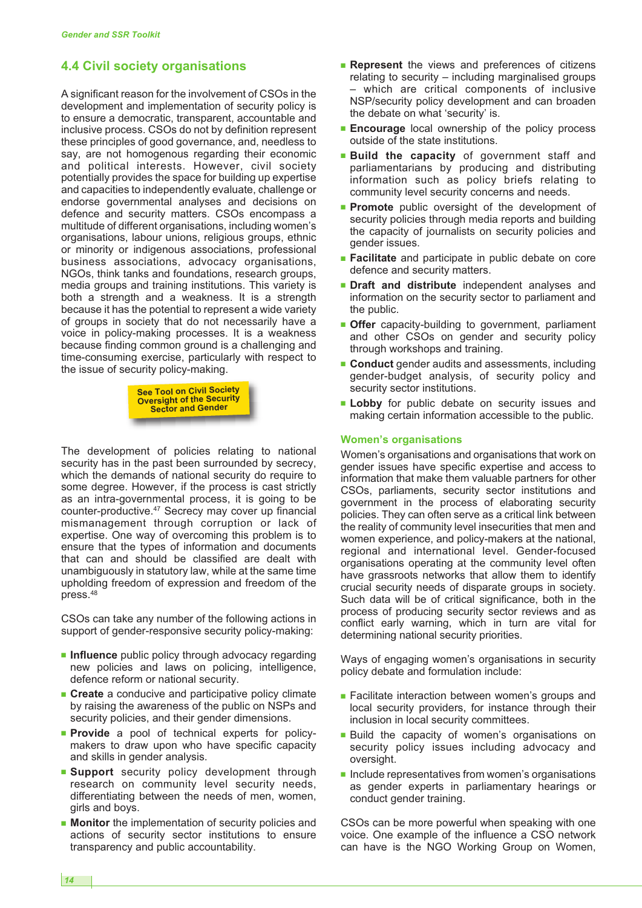# **4.4 Civil society organisations**

A significant reason for the involvement of CSOs in the development and implementation of security policy is to ensure a democratic, transparent, accountable and inclusive process. CSOs do not by definition represent these principles of good governance, and, needless to say, are not homogenous regarding their economic and political interests. However, civil society potentially provides the space for building up expertise and capacities to independently evaluate, challenge or endorse governmental analyses and decisions on defence and security matters. CSOs encompass a multitude of different organisations, including women's organisations, labour unions, religious groups, ethnic or minority or indigenous associations, professional business associations, advocacy organisations, NGOs, think tanks and foundations, research groups, media groups and training institutions. This variety is both a strength and a weakness. It is a strength because it has the potential to represent a wide variety of groups in society that do not necessarily have a voice in policy-making processes. It is a weakness because finding common ground is a challenging and time-consuming exercise, particularly with respect to the issue of security policy-making.



The development of policies relating to national security has in the past been surrounded by secrecy, which the demands of national security do require to some degree. However, if the process is cast strictly as an intra-governmental process, it is going to be counter-productive. <sup>47</sup> Secrecy may cover up financial mismanagement through corruption or lack of expertise. One way of overcoming this problem is to ensure that the types of information and documents that can and should be classified are dealt with unambiguously in statutory law, while at the same time upholding freedom of expression and freedom of the press. 48

CSOs can take any number of the following actions in support of gender-responsive security policy-making:

- **Influence** public policy through advocacy regarding new policies and laws on policing, intelligence, defence reform or national security.
- **Create** a conducive and participative policy climate by raising the awareness of the public on NSPs and security policies, and their gender dimensions.
- **■ Provide** a pool of technical experts for policymakers to draw upon who have specific capacity and skills in gender analysis.
- **Bupport** security policy development through research on community level security needs, differentiating between the needs of men, women, girls and boys.
- **Monitor** the implementation of security policies and actions of security sector institutions to ensure transparency and public accountability.
- **Represent** the views and preferences of citizens relating to security – including marginalised groups – which are critical components of inclusive NSP/security policy development and can broaden the debate on what 'security' is.
- **■ Encourage** local ownership of the policy process outside of the state institutions.
- **■ Build the capacity** of government staff and parliamentarians by producing and distributing information such as policy briefs relating to community level security concerns and needs.
- **■ Promote** public oversight of the development of security policies through media reports and building the capacity of journalists on security policies and gender issues.
- **■ Facilitate** and participate in public debate on core defence and security matters.
- **■ Draft and distribute** independent analyses and information on the security sector to parliament and the public.
- **■ Offer** capacity-building to government, parliament and other CSOs on gender and security policy through workshops and training.
- **Conduct** gender audits and assessments, including gender-budget analysis, of security policy and security sector institutions.
- **■ Lobby** for public debate on security issues and making certain information accessible to the public.

#### **Women's organisations**

Women's organisations and organisations that work on gender issues have specific expertise and access to information that make them valuable partners for other CSOs, parliaments, security sector institutions and government in the process of elaborating security policies. They can often serve as a critical link between the reality of community level insecurities that men and women experience, and policy-makers at the national, regional and international level. Gender-focused organisations operating at the community level often have grassroots networks that allow them to identify crucial security needs of disparate groups in society. Such data will be of critical significance, both in the process of producing security sector reviews and as conflict early warning, which in turn are vital for determining national security priorities.

Ways of engaging women's organisations in security policy debate and formulation include:

- Facilitate interaction between women's groups and local security providers, for instance through their inclusion in local security committees.
- **■** Build the capacity of women's organisations on security policy issues including advocacy and oversight.
- Include representatives from women's organisations as gender experts in parliamentary hearings or conduct gender training.

CSOs can be more powerful when speaking with one voice. One example of the influence a CSO network can have is the NGO Working Group on Women,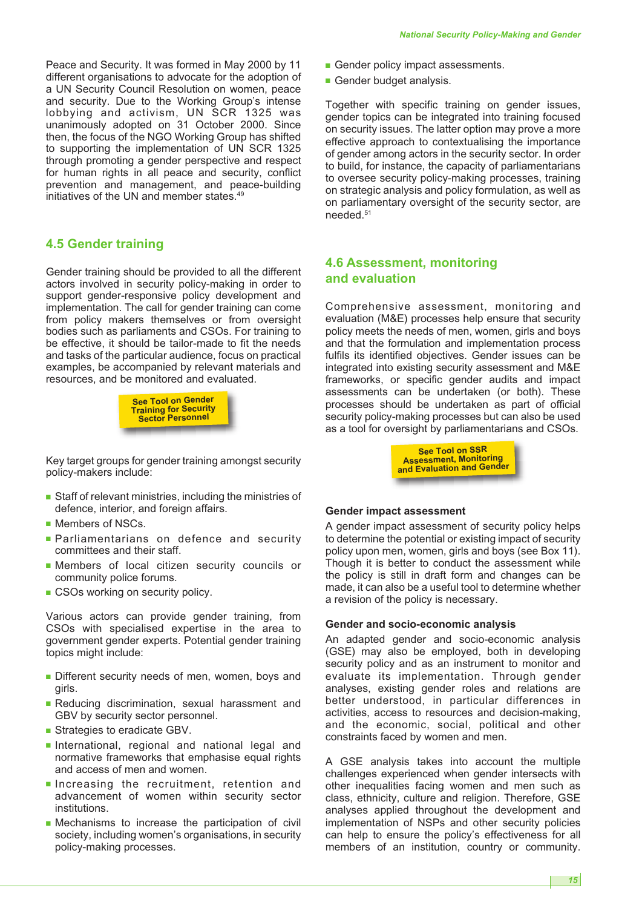Peace and Security. It was formed in May 2000 by 11 different organisations to advocate for the adoption of a UN Security Council Resolution on women, peace and security. Due to the Working Group's intense lobbying and activism, UN SCR 1325 was unanimously adopted on 31 October 2000. Since then, the focus of the NGO Working Group has shifted to supporting the implementation of UN SCR 1325 through promoting a gender perspective and respect for human rights in all peace and security, conflict prevention and management, and peace-building initiatives of the UN and member states. 49

# **4.5 Gender training**

Gender training should be provided to all the different actors involved in security policy-making in order to support gender-responsive policy development and implementation. The call for gender training can come from policy makers themselves or from oversight bodies such as parliaments and CSOs. For training to be effective, it should be tailor-made to fit the needs and tasks of the particular audience, focus on practical examples, be accompanied by relevant materials and resources, and be monitored and evaluated.



Key target groups for gender training amongst security policy-makers include:

- Staff of relevant ministries, including the ministries of defence, interior, and foreign affairs.
- Members of NSCs.
- **■** Parliamentarians on defence and security committees and their staff.
- **■** Members of local citizen security councils or community police forums.
- CSOs working on security policy.

Various actors can provide gender training, from CSOs with specialised expertise in the area to government gender experts. Potential gender training topics might include:

- Different security needs of men, women, boys and girls.
- **■** Reducing discrimination, sexual harassment and GBV by security sector personnel.
- Strategies to eradicate GBV.
- **■** International, regional and national legal and normative frameworks that emphasise equal rights and access of men and women.
- **■** Increasing the recruitment, retention and advancement of women within security sector institutions.
- **■** Mechanisms to increase the participation of civil society, including women's organisations, in security policy-making processes.
- **■** Gender policy impact assessments.
- **■** Gender budget analysis.

Together with specific training on gender issues, gender topics can be integrated into training focused on security issues. The latter option may prove a more effective approach to contextualising the importance of gender among actors in the security sector. In order to build, for instance, the capacity of parliamentarians to oversee security policy-making processes, training on strategic analysis and policy formulation, as well as on parliamentary oversight of the security sector, are needed. 51

# **4.6 Assessment, monitoring and evaluation**

Comprehensive assessment, monitoring and evaluation (M&E) processes help ensure that security policy meets the needs of men, women, girls and boys and that the formulation and implementation process fulfils its identified objectives. Gender issues can be integrated into existing security assessment and M&E frameworks, or specific gender audits and impact assessments can be undertaken (or both). These processes should be undertaken as part of official security policy-making processes but can also be used as a tool for oversight by parliamentarians and CSOs.



#### **Gender impact assessment**

A gender impact assessment of security policy helps to determine the potential or existing impact of security policy upon men, women, girls and boys (see Box 11). Though it is better to conduct the assessment while the policy is still in draft form and changes can be made, it can also be a useful tool to determine whether a revision of the policy is necessary.

#### **Gender and socio-economic analysis**

An adapted gender and socio-economic analysis (GSE) may also be employed, both in developing security policy and as an instrument to monitor and evaluate its implementation. Through gender analyses, existing gender roles and relations are better understood, in particular differences in activities, access to resources and decision-making, and the economic, social, political and other constraints faced by women and men.

A GSE analysis takes into account the multiple challenges experienced when gender intersects with other inequalities facing women and men such as class, ethnicity, culture and religion. Therefore, GSE analyses applied throughout the development and implementation of NSPs and other security policies can help to ensure the policy's effectiveness for all members of an institution, country or community.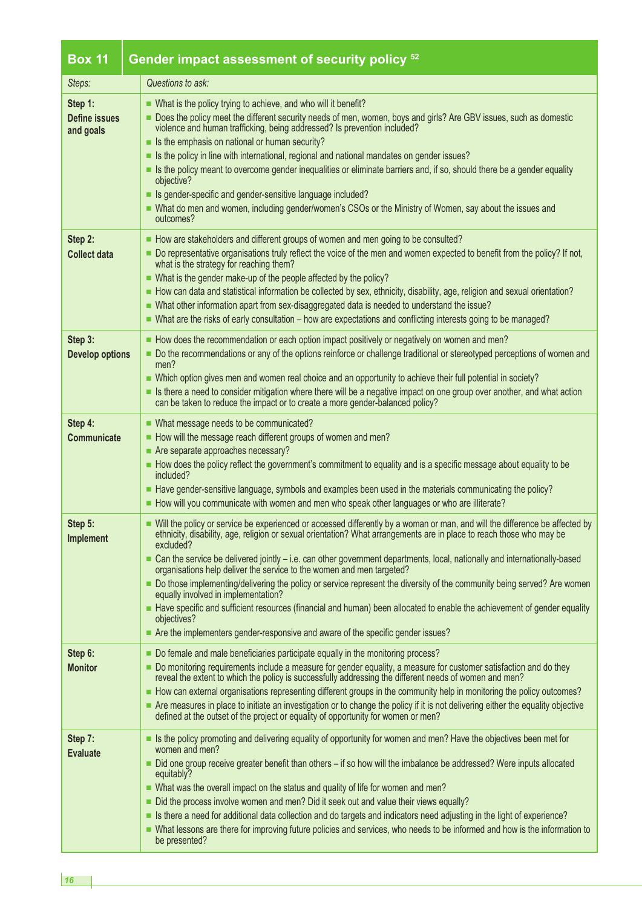| <b>Box 11</b>                         | Gender impact assessment of security policy <sup>52</sup>                                                                                                                                                                                                                                                                                                                                                                                                                                                                                                                                                                                                                                                                                                                                                                                                                  |  |  |  |
|---------------------------------------|----------------------------------------------------------------------------------------------------------------------------------------------------------------------------------------------------------------------------------------------------------------------------------------------------------------------------------------------------------------------------------------------------------------------------------------------------------------------------------------------------------------------------------------------------------------------------------------------------------------------------------------------------------------------------------------------------------------------------------------------------------------------------------------------------------------------------------------------------------------------------|--|--|--|
| Steps:                                | Questions to ask:                                                                                                                                                                                                                                                                                                                                                                                                                                                                                                                                                                                                                                                                                                                                                                                                                                                          |  |  |  |
| Step 1:<br>Define issues<br>and goals | ■ What is the policy trying to achieve, and who will it benefit?<br>Does the policy meet the different security needs of men, women, boys and girls? Are GBV issues, such as domestic<br>violence and human trafficking, being addressed? Is prevention included?<br>Is the emphasis on national or human security?<br>In Its the policy in line with international, regional and national mandates on gender issues?<br>Is the policy meant to overcome gender inequalities or eliminate barriers and, if so, should there be a gender equality<br>objective?<br>Since Is gender-specific and gender-sensitive language included?<br>- What do men and women, including gender/women's CSOs or the Ministry of Women, say about the issues and<br>outcomes?                                                                                                               |  |  |  |
| Step 2:<br><b>Collect data</b>        | How are stakeholders and different groups of women and men going to be consulted?<br>Do representative organisations truly reflect the voice of the men and women expected to benefit from the policy? If not,<br>what is the strategy for reaching them?<br>• What is the gender make-up of the people affected by the policy?<br>- How can data and statistical information be collected by sex, ethnicity, disability, age, religion and sexual orientation?<br>■ What other information apart from sex-disaggregated data is needed to understand the issue?<br>- What are the risks of early consultation – how are expectations and conflicting interests going to be managed?                                                                                                                                                                                       |  |  |  |
| Step 3:<br><b>Develop options</b>     | How does the recommendation or each option impact positively or negatively on women and men?<br>Do the recommendations or any of the options reinforce or challenge traditional or stereotyped perceptions of women and<br>men?<br>- Which option gives men and women real choice and an opportunity to achieve their full potential in society?<br>In there a need to consider mitigation where there will be a negative impact on one group over another, and what action<br>can be taken to reduce the impact or to create a more gender-balanced policy?                                                                                                                                                                                                                                                                                                               |  |  |  |
| Step 4:<br>Communicate                | ■ What message needs to be communicated?<br>How will the message reach different groups of women and men?<br>Are separate approaches necessary?<br>How does the policy reflect the government's commitment to equality and is a specific message about equality to be<br>included?<br>- Have gender-sensitive language, symbols and examples been used in the materials communicating the policy?<br>How will you communicate with women and men who speak other languages or who are illiterate?                                                                                                                                                                                                                                                                                                                                                                          |  |  |  |
| Step 5:<br>Implement                  | - Will the policy or service be experienced or accessed differently by a woman or man, and will the difference be affected by<br>ethnicity, disability, age, religion or sexual orientation? What arrangements are in place to reach those who may be<br>excluded?<br>■ Can the service be delivered jointly – i.e. can other government departments, local, nationally and internationally-based<br>organisations help deliver the service to the women and men targeted?<br>Do those implementing/delivering the policy or service represent the diversity of the community being served? Are women<br>equally involved in implementation?<br>Have specific and sufficient resources (financial and human) been allocated to enable the achievement of gender equality<br>objectives?<br>Are the implementers gender-responsive and aware of the specific gender issues? |  |  |  |
| Step 6:<br><b>Monitor</b>             | Do female and male beneficiaries participate equally in the monitoring process?<br>Do monitoring requirements include a measure for gender equality, a measure for customer satisfaction and do they<br>reveal the extent to which the policy is successfully addressing the different needs of women and men?<br>- How can external organisations representing different groups in the community help in monitoring the policy outcomes?<br>Are measures in place to initiate an investigation or to change the policy if it is not delivering either the equality objective<br>defined at the outset of the project or equality of opportunity for women or men?                                                                                                                                                                                                         |  |  |  |
| Step 7:<br><b>Evaluate</b>            | Is the policy promoting and delivering equality of opportunity for women and men? Have the objectives been met for<br>women and men?<br>• Did one group receive greater benefit than others – if so how will the imbalance be addressed? Were inputs allocated<br>equitably?<br>■ What was the overall impact on the status and quality of life for women and men?<br>Did the process involve women and men? Did it seek out and value their views equally?<br>In the fight of experience? It shares the test of the light of the collection and do targets and indicators need adjusting in the light of experience?<br>- What lessons are there for improving future policies and services, who needs to be informed and how is the information to<br>be presented?                                                                                                      |  |  |  |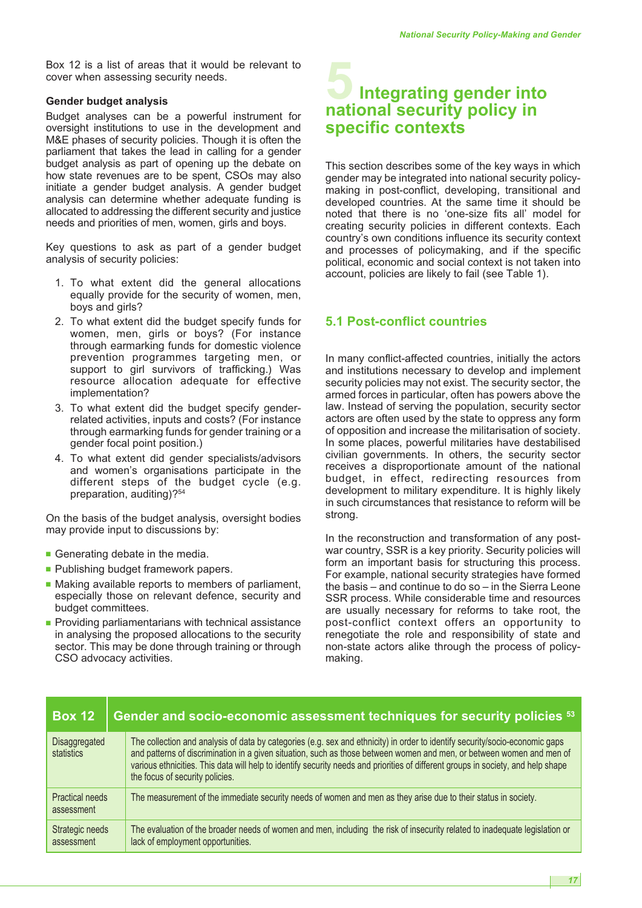Box 12 is a list of areas that it would be relevant to cover when assessing security needs.

#### **Gender budget analysis**

Budget analyses can be a powerful instrument for oversight institutions to use in the development and M&E phases of security policies. Though it is often the parliament that takes the lead in calling for a gender budget analysis as part of opening up the debate on how state revenues are to be spent, CSOs may also initiate a gender budget analysis. A gender budget analysis can determine whether adequate funding is allocated to addressing the different security and justice needs and priorities of men, women, girls and boys.

Key questions to ask as part of a gender budget analysis of security policies:

- 1. To what extent did the general allocations equally provide for the security of women, men, boys and girls?
- 2. To what extent did the budget specify funds for women, men, girls or boys? (For instance through earmarking funds for domestic violence prevention programmes targeting men, or support to girl survivors of trafficking.) Was resource allocation adequate for effective implementation?
- 3. To what extent did the budget specify genderrelated activities, inputs and costs? (For instance through earmarking funds for gender training or a gender focal point position.)
- 4. To what extent did gender specialists/advisors and women's organisations participate in the different steps of the budget cycle (e.g. preparation, auditing)?<sup>54</sup>

On the basis of the budget analysis, oversight bodies may provide input to discussions by:

- Generating debate in the media.
- Publishing budget framework papers.
- Making available reports to members of parliament, especially those on relevant defence, security and budget committees.
- Providing parliamentarians with technical assistance in analysing the proposed allocations to the security sector. This may be done through training or through CSO advocacy activities.

# **5Integrating gender into national security policy in specific contexts**

This section describes some of the key ways in which gender may be integrated into national security policymaking in post-conflict, developing, transitional and developed countries. At the same time it should be noted that there is no 'one-size fits all' model for creating security policies in different contexts. Each country's own conditions influence its security context and processes of policymaking, and if the specific political, economic and social context is not taken into account, policies are likely to fail (see Table 1).

# **5.1 Post-conflict countries**

In many conflict-affected countries, initially the actors and institutions necessary to develop and implement security policies may not exist. The security sector, the armed forces in particular, often has powers above the law. Instead of serving the population, security sector actors are often used by the state to oppress any form of opposition and increase the militarisation of society. In some places, powerful militaries have destabilised civilian governments. In others, the security sector receives a disproportionate amount of the national budget, in effect, redirecting resources from development to military expenditure. It is highly likely in such circumstances that resistance to reform will be strong.

In the reconstruction and transformation of any postwar country, SSR is a key priority. Security policies will form an important basis for structuring this process. For example, national security strategies have formed the basis – and continue to do so – in the Sierra Leone SSR process. While considerable time and resources are usually necessary for reforms to take root, the post-conflict context offers an opportunity to renegotiate the role and responsibility of state and non-state actors alike through the process of policymaking.

| <b>Box 12</b>                        |  | Gender and socio-economic assessment techniques for security policies 53                                                                                                                                                                                                                                                                                                                                                      |  |  |
|--------------------------------------|--|-------------------------------------------------------------------------------------------------------------------------------------------------------------------------------------------------------------------------------------------------------------------------------------------------------------------------------------------------------------------------------------------------------------------------------|--|--|
| Disaggregated<br>statistics          |  | The collection and analysis of data by categories (e.g. sex and ethnicity) in order to identify security/socio-economic gaps<br>and patterns of discrimination in a given situation, such as those between women and men, or between women and men of<br>various ethnicities. This data will help to identify security needs and priorities of different groups in society, and help shape<br>the focus of security policies. |  |  |
| <b>Practical needs</b><br>assessment |  | The measurement of the immediate security needs of women and men as they arise due to their status in society.                                                                                                                                                                                                                                                                                                                |  |  |
| Strategic needs<br>assessment        |  | The evaluation of the broader needs of women and men, including the risk of insecurity related to inadequate legislation or<br>lack of employment opportunities.                                                                                                                                                                                                                                                              |  |  |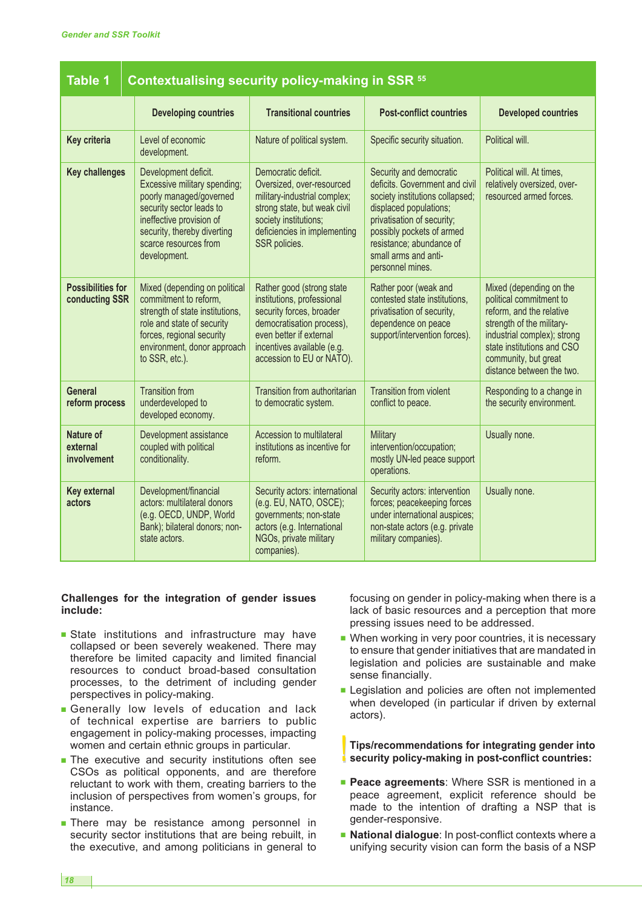| <b>Table 1</b>                             | Contextualising security policy-making in SSR 55                                                                                                                                                                |                                                                                                                                                                                                        |                                                                                                                                                                                                                                                           |                                                                                                                                                                                                                               |
|--------------------------------------------|-----------------------------------------------------------------------------------------------------------------------------------------------------------------------------------------------------------------|--------------------------------------------------------------------------------------------------------------------------------------------------------------------------------------------------------|-----------------------------------------------------------------------------------------------------------------------------------------------------------------------------------------------------------------------------------------------------------|-------------------------------------------------------------------------------------------------------------------------------------------------------------------------------------------------------------------------------|
|                                            | <b>Developing countries</b>                                                                                                                                                                                     | <b>Transitional countries</b>                                                                                                                                                                          | <b>Post-conflict countries</b>                                                                                                                                                                                                                            | <b>Developed countries</b>                                                                                                                                                                                                    |
| Key criteria                               | Level of economic<br>development.                                                                                                                                                                               | Nature of political system.                                                                                                                                                                            | Specific security situation.                                                                                                                                                                                                                              | Political will.                                                                                                                                                                                                               |
| <b>Key challenges</b>                      | Development deficit.<br>Excessive military spending;<br>poorly managed/governed<br>security sector leads to<br>ineffective provision of<br>security, thereby diverting<br>scarce resources from<br>development. | Democratic deficit.<br>Oversized, over-resourced<br>military-industrial complex;<br>strong state, but weak civil<br>society institutions;<br>deficiencies in implementing<br>SSR policies.             | Security and democratic<br>deficits. Government and civil<br>society institutions collapsed;<br>displaced populations;<br>privatisation of security;<br>possibly pockets of armed<br>resistance; abundance of<br>small arms and anti-<br>personnel mines. | Political will. At times,<br>relatively oversized, over-<br>resourced armed forces.                                                                                                                                           |
| <b>Possibilities for</b><br>conducting SSR | Mixed (depending on political<br>commitment to reform,<br>strength of state institutions,<br>role and state of security<br>forces, regional security<br>environment, donor approach<br>to SSR, etc.).           | Rather good (strong state<br>institutions, professional<br>security forces, broader<br>democratisation process),<br>even better if external<br>incentives available (e.g.<br>accession to EU or NATO). | Rather poor (weak and<br>contested state institutions.<br>privatisation of security,<br>dependence on peace<br>support/intervention forces).                                                                                                              | Mixed (depending on the<br>political commitment to<br>reform, and the relative<br>strength of the military-<br>industrial complex); strong<br>state institutions and CSO<br>community, but great<br>distance between the two. |
| <b>General</b><br>reform process           | <b>Transition from</b><br>underdeveloped to<br>developed economy.                                                                                                                                               | Transition from authoritarian<br>to democratic system.                                                                                                                                                 | <b>Transition from violent</b><br>conflict to peace.                                                                                                                                                                                                      | Responding to a change in<br>the security environment.                                                                                                                                                                        |
| Nature of<br>external<br>involvement       | Development assistance<br>coupled with political<br>conditionality.                                                                                                                                             | Accession to multilateral<br>institutions as incentive for<br>reform.                                                                                                                                  | Military<br>intervention/occupation;<br>mostly UN-led peace support<br>operations.                                                                                                                                                                        | Usually none.                                                                                                                                                                                                                 |
| <b>Key external</b><br>actors              | Development/financial<br>actors: multilateral donors<br>(e.g. OECD, UNDP, World<br>Bank); bilateral donors; non-<br>state actors.                                                                               | Security actors: international<br>(e.g. EU, NATO, OSCE);<br>governments; non-state<br>actors (e.g. International<br>NGOs, private military<br>companies).                                              | Security actors: intervention<br>forces; peacekeeping forces<br>under international auspices;<br>non-state actors (e.g. private<br>military companies).                                                                                                   | Usually none.                                                                                                                                                                                                                 |

#### **Challenges for the integration of gender issues include:**

- **■** State institutions and infrastructure may have collapsed or been severely weakened. There may therefore be limited capacity and limited financial resources to conduct broad-based consultation processes, to the detriment of including gender perspectives in policy-making.
- **■** Generally low levels of education and lack of technical expertise are barriers to public engagement in policy-making processes, impacting women and certain ethnic groups in particular.
- **■** The executive and security institutions often see CSOs as political opponents, and are therefore reluctant to work with them, creating barriers to the inclusion of perspectives from women's groups, for instance.
- **■** There may be resistance among personnel in security sector institutions that are being rebuilt, in the executive, and among politicians in general to

focusing on gender in policy-making when there is a lack of basic resources and a perception that more pressing issues need to be addressed.

- When working in very poor countries, it is necessary to ensure that gender initiatives that are mandated in legislation and policies are sustainable and make sense financially.
- Legislation and policies are often not implemented when developed (in particular if driven by external actors).

**!! Tips/recommendations for integrating gender into security policy-making in post-conflict countries:**

- **■ Peace agreements**: Where SSR is mentioned in a peace agreement, explicit reference should be made to the intention of drafting a NSP that is gender-responsive.
- **■ National dialogue**: In post-conflict contexts where a unifying security vision can form the basis of a NSP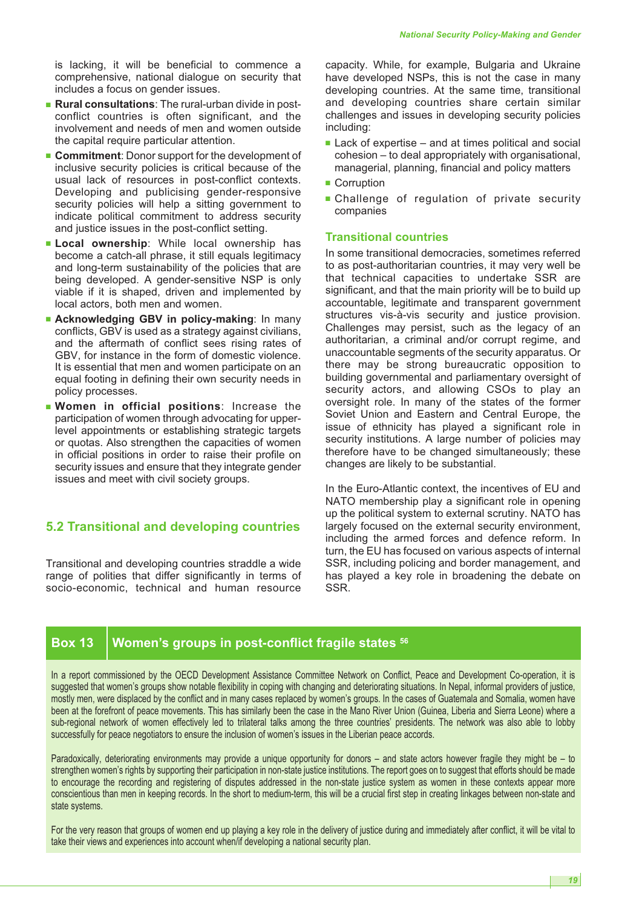is lacking, it will be beneficial to commence a comprehensive, national dialogue on security that includes a focus on gender issues.

- **Rural consultations**: The rural-urban divide in postconflict countries is often significant, and the involvement and needs of men and women outside the capital require particular attention.
- **Commitment**: Donor support for the development of inclusive security policies is critical because of the usual lack of resources in post-conflict contexts. Developing and publicising gender-responsive security policies will help a sitting government to indicate political commitment to address security and justice issues in the post-conflict setting.
- **■ Local ownership**: While local ownership has become a catch-all phrase, it still equals legitimacy and long-term sustainability of the policies that are being developed. A gender-sensitive NSP is only viable if it is shaped, driven and implemented by local actors, both men and women.
- **■ Acknowledging GBV in policy-making**: In many conflicts, GBV is used as a strategy against civilians, and the aftermath of conflict sees rising rates of GBV, for instance in the form of domestic violence. It is essential that men and women participate on an equal footing in defining their own security needs in policy processes.
- **■ Women in official positions**: Increase the participation of women through advocating for upperlevel appointments or establishing strategic targets or quotas. Also strengthen the capacities of women in official positions in order to raise their profile on security issues and ensure that they integrate gender issues and meet with civil society groups.

# **5.2 Transitional and developing countries**

Transitional and developing countries straddle a wide range of polities that differ significantly in terms of socio-economic, technical and human resource capacity. While, for example, Bulgaria and Ukraine have developed NSPs, this is not the case in many developing countries. At the same time, transitional and developing countries share certain similar challenges and issues in developing security policies including:

- Lack of expertise and at times political and social cohesion – to deal appropriately with organisational, managerial, planning, financial and policy matters
- Corruption
- **■** Challenge of regulation of private security companies

#### **Transitional countries**

In some transitional democracies, sometimes referred to as post-authoritarian countries, it may very well be that technical capacities to undertake SSR are significant, and that the main priority will be to build up accountable, legitimate and transparent government structures vis-à-vis security and justice provision. Challenges may persist, such as the legacy of an authoritarian, a criminal and/or corrupt regime, and unaccountable segments of the security apparatus. Or there may be strong bureaucratic opposition to building governmental and parliamentary oversight of security actors, and allowing CSOs to play an oversight role. In many of the states of the former Soviet Union and Eastern and Central Europe, the issue of ethnicity has played a significant role in security institutions. A large number of policies may therefore have to be changed simultaneously; these changes are likely to be substantial.

In the Euro-Atlantic context, the incentives of EU and NATO membership play a significant role in opening up the political system to external scrutiny. NATO has largely focused on the external security environment, including the armed forces and defence reform. In turn, the EU has focused on various aspects of internal SSR, including policing and border management, and has played a key role in broadening the debate on SSR.

# **Box 13 Women's groups in post-conflict fragile states <sup>56</sup>**

In a report commissioned by the OECD Development Assistance Committee Network on Conflict, Peace and Development Co-operation, it is suggested that women's groups show notable flexibility in coping with changing and deteriorating situations. In Nepal, informal providers of justice, mostly men, were displaced by the conflict and in many cases replaced by women's groups. In the cases of Guatemala and Somalia, women have been at the forefront of peace movements. This has similarly been the case in the Mano River Union (Guinea, Liberia and Sierra Leone) where a sub-regional network of women effectively led to trilateral talks among the three countries' presidents. The network was also able to lobby successfully for peace negotiators to ensure the inclusion of women's issues in the Liberian peace accords.

Paradoxically, deteriorating environments may provide a unique opportunity for donors – and state actors however fragile they might be – to strengthen women's rights by supporting their participation in non-state justice institutions. The report goes on to suggest that efforts should be made to encourage the recording and registering of disputes addressed in the non-state justice system as women in these contexts appear more conscientious than men in keeping records. In the short to medium-term, this will be a crucial first step in creating linkages between non-state and state systems.

For the very reason that groups of women end up playing a key role in the delivery of justice during and immediately after conflict, it will be vital to take their views and experiences into account when/if developing a national security plan.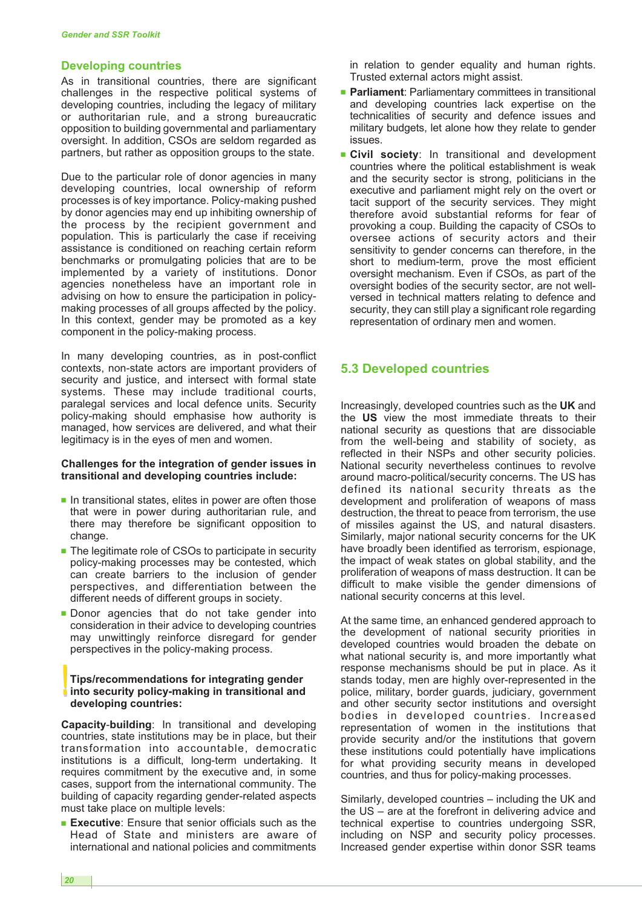#### **Developing countries**

As in transitional countries, there are significant challenges in the respective political systems of developing countries, including the legacy of military or authoritarian rule, and a strong bureaucratic opposition to building governmental and parliamentary oversight. In addition, CSOs are seldom regarded as partners, but rather as opposition groups to the state.

Due to the particular role of donor agencies in many developing countries, local ownership of reform processes is of key importance. Policy-making pushed by donor agencies may end up inhibiting ownership of the process by the recipient government and population. This is particularly the case if receiving assistance is conditioned on reaching certain reform benchmarks or promulgating policies that are to be implemented by a variety of institutions. Donor agencies nonetheless have an important role in advising on how to ensure the participation in policymaking processes of all groups affected by the policy. In this context, gender may be promoted as a key component in the policy-making process.

In many developing countries, as in post-conflict contexts, non-state actors are important providers of security and justice, and intersect with formal state systems. These may include traditional courts, paralegal services and local defence units. Security policy-making should emphasise how authority is managed, how services are delivered, and what their legitimacy is in the eyes of men and women.

#### **Challenges for the integration of gender issues in transitional and developing countries include:**

- In transitional states, elites in power are often those that were in power during authoritarian rule, and there may therefore be significant opposition to change.
- The legitimate role of CSOs to participate in security policy-making processes may be contested, which can create barriers to the inclusion of gender perspectives, and differentiation between the different needs of different groups in society.
- **■** Donor agencies that do not take gender into consideration in their advice to developing countries may unwittingly reinforce disregard for gender perspectives in the policy-making process.

# **!!Tips/recommendations for integrating gender into security policy-making in transitional and developing countries:**

**Capacity**-**building**: In transitional and developing countries, state institutions may be in place, but their transformation into accountable, democratic institutions is a difficult, long-term undertaking. It requires commitment by the executive and, in some cases, support from the international community. The building of capacity regarding gender-related aspects must take place on multiple levels:

**■ Executive**: Ensure that senior officials such as the Head of State and ministers are aware of international and national policies and commitments in relation to gender equality and human rights. Trusted external actors might assist.

- **Parliament: Parliamentary committees in transitional** and developing countries lack expertise on the technicalities of security and defence issues and military budgets, let alone how they relate to gender issues.
- **■ Civil society**: In transitional and development countries where the political establishment is weak and the security sector is strong, politicians in the executive and parliament might rely on the overt or tacit support of the security services. They might therefore avoid substantial reforms for fear of provoking a coup. Building the capacity of CSOs to oversee actions of security actors and their sensitivity to gender concerns can therefore, in the short to medium-term, prove the most efficient oversight mechanism. Even if CSOs, as part of the oversight bodies of the security sector, are not wellversed in technical matters relating to defence and security, they can still play a significant role regarding representation of ordinary men and women.

## **5.3 Developed countries**

Increasingly, developed countries such as the **UK** and the **US** view the most immediate threats to their national security as questions that are dissociable from the well-being and stability of society, as reflected in their NSPs and other security policies. National security nevertheless continues to revolve around macro-political/security concerns. The US has defined its national security threats as the development and proliferation of weapons of mass destruction, the threat to peace from terrorism, the use of missiles against the US, and natural disasters. Similarly, major national security concerns for the UK have broadly been identified as terrorism, espionage, the impact of weak states on global stability, and the proliferation of weapons of mass destruction. It can be difficult to make visible the gender dimensions of national security concerns at this level.

At the same time, an enhanced gendered approach to the development of national security priorities in developed countries would broaden the debate on what national security is, and more importantly what response mechanisms should be put in place. As it stands today, men are highly over-represented in the police, military, border guards, judiciary, government and other security sector institutions and oversight bodies in developed countries. Increased representation of women in the institutions that provide security and/or the institutions that govern these institutions could potentially have implications for what providing security means in developed countries, and thus for policy-making processes.

Similarly, developed countries – including the UK and the US – are at the forefront in delivering advice and technical expertise to countries undergoing SSR, including on NSP and security policy processes. Increased gender expertise within donor SSR teams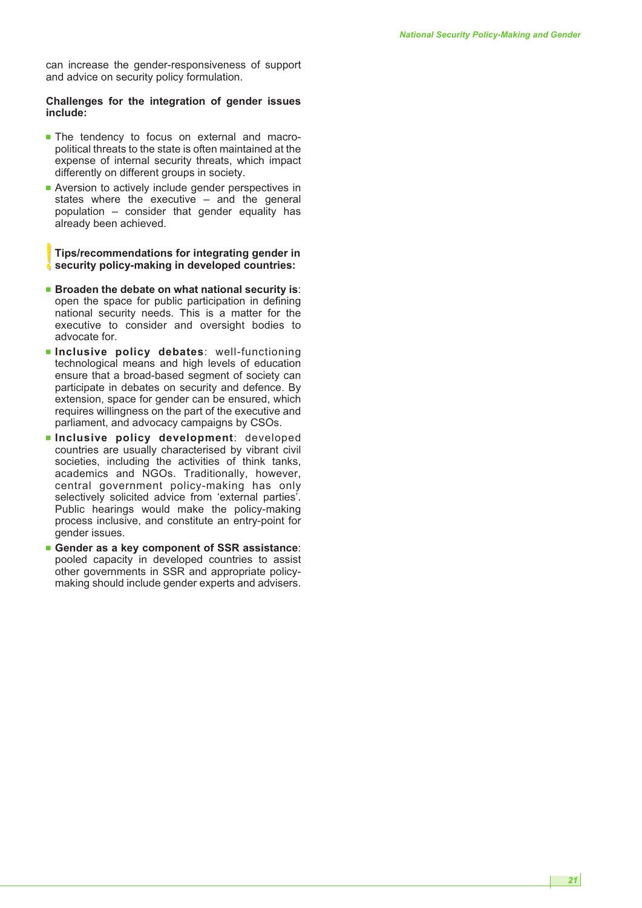can increase the gender-responsiveness of support and advice on security policy formulation.

#### **Challenges for the integration of gender issues include:**

- **■** The tendency to focus on external and macropolitical threats to the state is often maintained at the expense of internal security threats, which impact differently on different groups in society.
- Aversion to actively include gender perspectives in states where the executive – and the general population – consider that gender equality has already been achieved.

**!! Tips/recommendations for integrating gender in security policy-making in developed countries:**

- **■ Broaden the debate on what national security is**: open the space for public participation in defining national security needs. This is a matter for the executive to consider and oversight bodies to advocate for.
- **■ Inclusive policy debates**: well-functioning technological means and high levels of education ensure that a broad-based segment of society can participate in debates on security and defence. By extension, space for gender can be ensured, which requires willingness on the part of the executive and parliament, and advocacy campaigns by CSOs.
- **■ Inclusive policy development**: developed countries are usually characterised by vibrant civil societies, including the activities of think tanks, academics and NGOs. Traditionally, however, central government policy-making has only selectively solicited advice from 'external parties'. Public hearings would make the policy-making process inclusive, and constitute an entry-point for gender issues.
- **■ Gender as a key component of SSR assistance**: pooled capacity in developed countries to assist other governments in SSR and appropriate policymaking should include gender experts and advisers.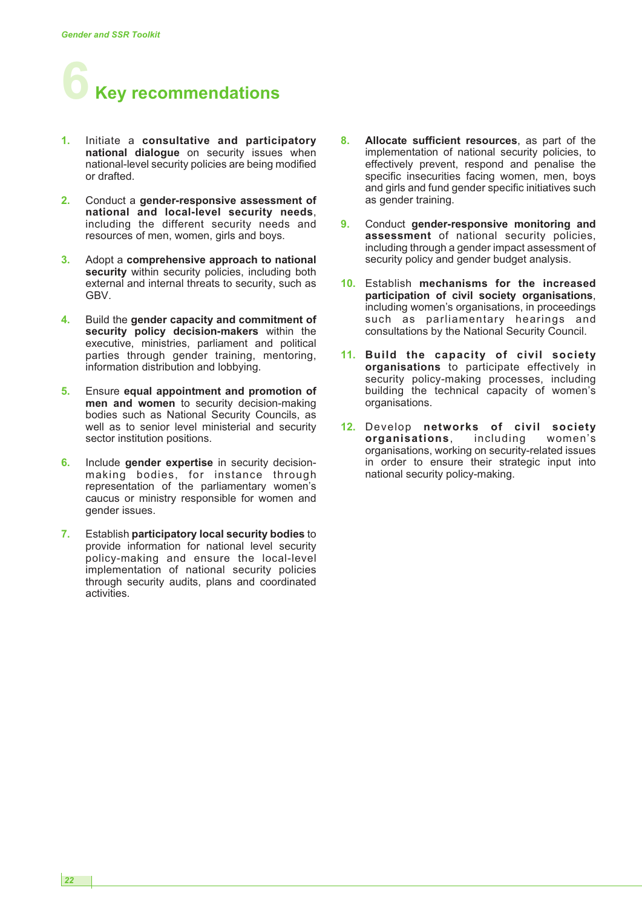

- **1.** Initiate a **consultative and participatory national dialogue** on security issues when national-level security policies are being modified or drafted.
- **2.** Conduct a **gender-responsive assessment of national and local-level security needs**, including the different security needs and resources of men, women, girls and boys.
- **3.** Adopt a **comprehensive approach to national** security within security policies, including both external and internal threats to security, such as GBV.
- **4.** Build the **gender capacity and commitment of security policy decision-makers** within the executive, ministries, parliament and political parties through gender training, mentoring, information distribution and lobbying.
- **5.** Ensure **equal appointment and promotion of men and women** to security decision-making bodies such as National Security Councils, as well as to senior level ministerial and security sector institution positions.
- **6.** Include **gender expertise** in security decisionmaking bodies, for instance through representation of the parliamentary women's caucus or ministry responsible for women and gender issues.
- **7.** Establish **participatory local security bodies** to provide information for national level security policy-making and ensure the local-level implementation of national security policies through security audits, plans and coordinated activities.
- **8. Allocate sufficient resources**, as part of the implementation of national security policies, to effectively prevent, respond and penalise the specific insecurities facing women, men, boys and girls and fund gender specific initiatives such as gender training.
- **9.** Conduct **gender-responsive monitoring and assessment** of national security policies, including through a gender impact assessment of security policy and gender budget analysis.
- **10.** Establish **mechanisms for the increased participation of civil society organisations**, including women's organisations, in proceedings such as parliamentary hearings and consultations by the National Security Council.
- **11. Build the capacity of civil society organisations** to participate effectively in security policy-making processes, including building the technical capacity of women's organisations.
- **12.** Develop **networks of civil society organisations**, including women's organisations, working on security-related issues in order to ensure their strategic input into national security policy-making.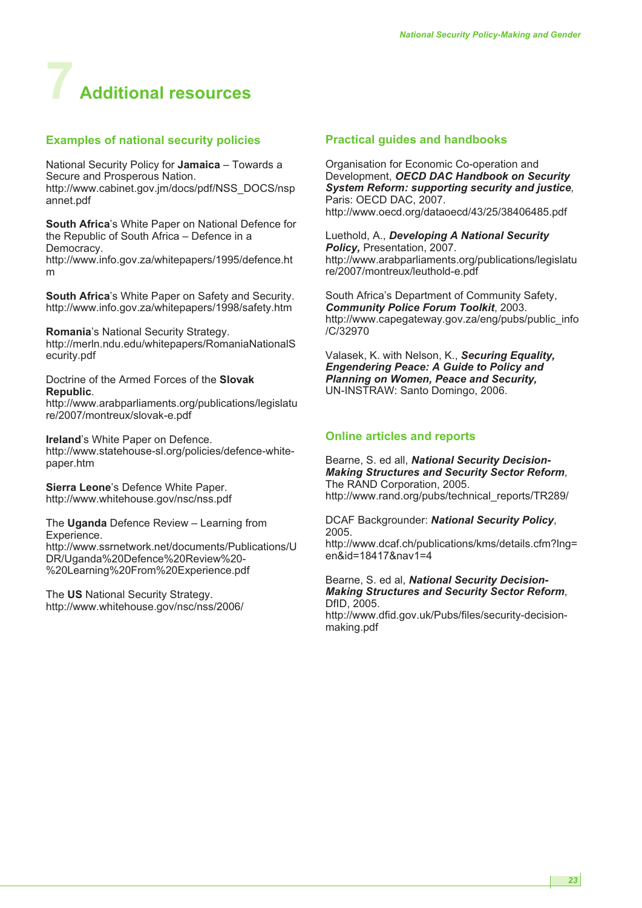# **7 Additional resources**

## **Examples of national security policies**

National Security Policy for **Jamaica** – Towards a Secure and Prosperous Nation. http://www.cabinet.gov.jm/docs/pdf/NSS\_DOCS/nsp annet.pdf

**South Africa**'s White Paper on National Defence for the Republic of South Africa – Defence in a Democracy.

http://www.info.gov.za/whitepapers/1995/defence.ht m

**South Africa**'s White Paper on Safety and Security. http://www.info.gov.za/whitepapers/1998/safety.htm

**Romania**'s National Security Strategy. http://merln.ndu.edu/whitepapers/RomaniaNationalS ecurity.pdf

Doctrine of the Armed Forces of the **Slovak Republic**.

http://www.arabparliaments.org/publications/legislatu re/2007/montreux/slovak-e.pdf

**Ireland**'s White Paper on Defence. http://www.statehouse-sl.org/policies/defence-whitepaper.htm

**Sierra Leone**'s Defence White Paper. http://www.whitehouse.gov/nsc/nss.pdf

The **Uganda** Defence Review – Learning from Experience. http://www.ssrnetwork.net/documents/Publications/U DR/Uganda%20Defence%20Review%20- %20Learning%20From%20Experience.pdf

The **US** National Security Strategy. http://www.whitehouse.gov/nsc/nss/2006/

### **Practical guides and handbooks**

Organisation for Economic Co-operation and Development, *OECD DAC Handbook on Security System Reform: supporting security and justice,* Paris: OECD DAC, 2007. http://www.oecd.org/dataoecd/43/25/38406485.pdf

Luethold, A., *Developing A National Security Policy,* Presentation, 2007. http://www.arabparliaments.org/publications/legislatu re/2007/montreux/leuthold-e.pdf

South Africa's Department of Community Safety, *Community Police Forum Toolkit*, 2003. http://www.capegateway.gov.za/eng/pubs/public\_info /C/32970

Valasek, K. with Nelson, K., *Securing Equality, Engendering Peace: A Guide to Policy and Planning on Women, Peace and Security,* UN-INSTRAW: Santo Domingo, 2006.

# **Online articles and reports**

Bearne, S. ed all, *National Security Decision-Making Structures and Security Sector Reform*, The RAND Corporation, 2005. http://www.rand.org/pubs/technical\_reports/TR289/

DCAF Backgrounder: *National Security Policy*, 2005.

http://www.dcaf.ch/publications/kms/details.cfm?lng= en&id=18417&nav1=4

Bearne, S. ed al, *National Security Decision-Making Structures and Security Sector Reform*, DfID, 2005. http://www.dfid.gov.uk/Pubs/files/security-decisionmaking.pdf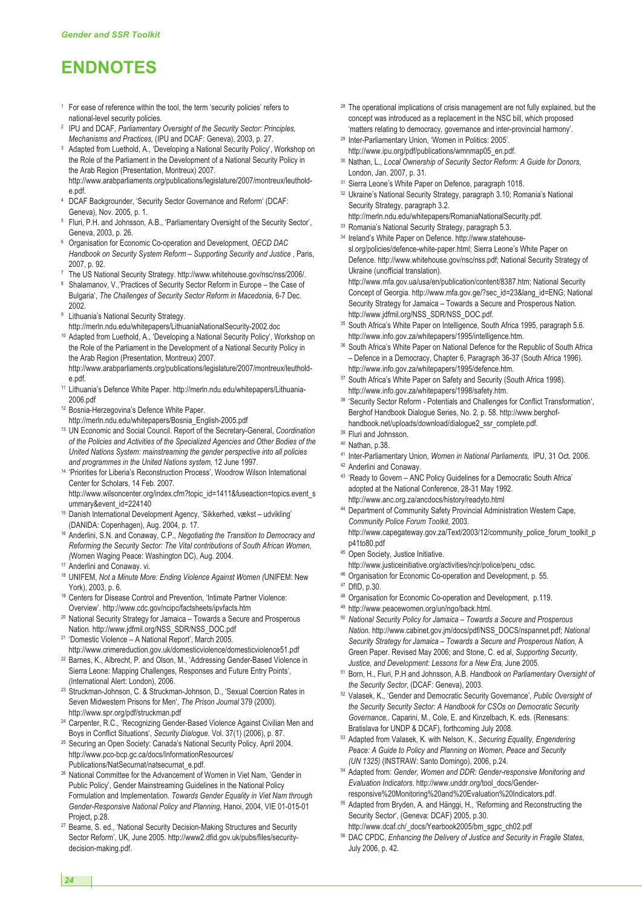# **ENDNOTES**

- <sup>1</sup> For ease of reference within the tool, the term 'security policies' refers to national-level security policies.
- <sup>2</sup> IPU and DCAF, *Parliamentary Oversight of the Security Sector: Principles, Mechanisms and Practices,* (IPU and DCAF: Geneva), 2003, p. 27.
- <sup>3</sup> Adapted from Luethold, A., 'Developing a National Security Policy', Workshop on the Role of the Parliament in the Development of a National Security Policy in the Arab Region (Presentation, Montreux) 2007. http://www.arabparliaments.org/publications/legislature/2007/montreux/leuthold-
- e.pdf. <sup>4</sup> DCAF Backgrounder, 'Security Sector Governance and Reform' (DCAF: Geneva), Nov. 2005, p. 1.
- <sup>5</sup> Fluri, P.H. and Johnsson, A.B., 'Parliamentary Oversight of the Security Sector', Geneva, 2003, p. 26.
- <sup>6</sup> Organisation for Economic Co-operation and Development, *OECD DAC Handbook on Security System Reform – Supporting Security and Justice* , Paris, 2007, p. 92.
- <sup>7</sup> The US National Security Strategy. http://www.whitehouse.gov/nsc/nss/2006/.
- <sup>8</sup> Shalamanov, V.,'Practices of Security Sector Reform in Europe the Case of Bulgaria', *The Challenges of Security Sector Reform in Macedonia*, 6-7 Dec. 2002*.*
- Lithuania's National Security Strategy.
- http://merln.ndu.edu/whitepapers/LithuaniaNationalSecurity-2002.doc
- <sup>10</sup> Adapted from Luethold, A., 'Developing a National Security Policy', Workshop on the Role of the Parliament in the Development of a National Security Policy in the Arab Region (Presentation, Montreux) 2007. http://www.arabparliaments.org/publications/legislature/2007/montreux/leuthold-
- e.pdf.
- <sup>11</sup> Lithuania's Defence White Paper. http://merln.ndu.edu/whitepapers/Lithuania-2006.pdf
- <sup>12</sup> Bosnia-Herzegovina's Defence White Paper.
- http://merln.ndu.edu/whitepapers/Bosnia\_English-2005.pdf
- <sup>13</sup> UN Economic and Social Council. Report of the Secretary-General, *Coordination of the Policies and Activities of the Specialized Agencies and Other Bodies of the United Nations System: mainstreaming the gender perspective into all policies and programmes in the United Nations system,* 12 June 1997.
- <sup>14</sup> 'Priorities for Liberia's Reconstruction Process', Woodrow Wilson International Center for Scholars, 14 Feb. 2007. http://www.wilsoncenter.org/index.cfm?topic\_id=1411&fuseaction=topics.event\_s
- ummary&event\_id=224140
- <sup>15</sup> Danish International Development Agency, 'Sikkerhed, vækst udvikling' (DANIDA: Copenhagen), Aug. 2004, p. 17.
- <sup>16</sup> Anderlini, S.N. and Conaway, C.P., *Negotiating the Transition to Democracy and Reforming the Security Sector: The Vital contributions of South African Women, (*Women Waging Peace: Washington DC), Aug. 2004.
- <sup>17</sup> Anderlini and Conaway. vi.
- <sup>18</sup> UNIFEM, *Not a Minute More: Ending Violence Against Women (*UNIFEM: New York), 2003, p. 6.
- <sup>19</sup> Centers for Disease Control and Prevention, 'Intimate Partner Violence: Overview'. http://www.cdc.gov/ncipc/factsheets/ipvfacts.htm
- <sup>20</sup> National Security Strategy for Jamaica Towards a Secure and Prosperous Nation. http://www.jdfmil.org/NSS\_SDR/NSS\_DOC.pdf
- <sup>21</sup> 'Domestic Violence A National Report', March 2005. http://www.crimereduction.gov.uk/domesticviolence/domesticviolence51.pdf
- <sup>22</sup> Barnes, K., Albrecht, P. and Olson, M., 'Addressing Gender-Based Violence in Sierra Leone: Mapping Challenges, Responses and Future Entry Points', (International Alert: London), 2006.
- <sup>23</sup> Struckman-Johnson, C. & Struckman-Johnson, D., 'Sexual Coercion Rates in Seven Midwestern Prisons for Men', *The Prison Journal* 379 (2000). http://www.spr.org/pdf/struckman.pdf
- <sup>24</sup> Carpenter, R.C., 'Recognizing Gender-Based Violence Against Civilian Men and Boys in Conflict Situations', *Security Dialogue*. Vol. 37(1) (2006), p. 87.
- <sup>25</sup> Securing an Open Society: Canada's National Security Policy, April 2004. http://www.pco-bcp.gc.ca/docs/InformationResources/ Publications/NatSecurnat/natsecurnat\_e.pdf.
- <sup>26</sup> National Committee for the Advancement of Women in Viet Nam, 'Gender in Public Policy', Gender Mainstreaming Guidelines in the National Policy Formulation and Implementation. *Towards Gender Equality in Viet Nam through Gender-Responsive National Policy and Planning*, Hanoi, 2004, VIE 01-015-01 Project, p.28.
- <sup>27</sup> Bearne, S. ed., 'National Security Decision-Making Structures and Security Sector Reform', UK, June 2005. http://www2.dfid.gov.uk/pubs/files/securitydecision-making.pdf.
- <sup>28</sup> The operational implications of crisis management are not fully explained, but the concept was introduced as a replacement in the NSC bill, which proposed 'matters relating to democracy, governance and inter-provincial harmony'.
- <sup>29</sup> Inter-Parliamentary Union, 'Women in Politics: 2005'. http://www.ipu.org/pdf/publications/wmnmap05\_en.pdf.
- <sup>30</sup> Nathan, L., *Local Ownership of Security Sector Reform: A Guide for Donors*, London, Jan. 2007, p. 31.
- <sup>31</sup> Sierra Leone's White Paper on Defence, paragraph 1018.
- <sup>32</sup> Ukraine's National Security Strategy, paragraph 3.10; Romania's National Security Strategy, paragraph 3.2.
- http://merln.ndu.edu/whitepapers/RomaniaNationalSecurity.pdf. <sup>33</sup> Romania's National Security Strategy, paragraph 5.3.
- <sup>34</sup> Ireland's White Paper on Defence. http://www.statehousesl.org/policies/defence-white-paper.html; Sierra Leone's White Paper on Defence. http://www.whitehouse.gov/nsc/nss.pdf; National Security Strategy of Ukraine (unofficial translation). http://www.mfa.gov.ua/usa/en/publication/content/8387.htm; National Security Concept of Georgia. http://www.mfa.gov.ge/?sec\_id=23&lang\_id=ENG; National Security Strategy for Jamaica – Towards a Secure and Prosperous Nation. http://www.jdfmil.org/NSS\_SDR/NSS\_DOC.pdf.
- <sup>35</sup> South Africa's White Paper on Intelligence, South Africa 1995, paragraph 5.6. http://www.info.gov.za/whitepapers/1995/intelligence.htm.
- 36 South Africa's White Paper on National Defence for the Republic of South Africa – Defence in a Democracy, Chapter 6, Paragraph 36-37 (South Africa 1996). http://www.info.gov.za/whitepapers/1995/defence.htm.
- 37 South Africa's White Paper on Safety and Security (South Africa 1998). http://www.info.gov.za/whitepapers/1998/safety.htm.
- <sup>38</sup> 'Security Sector Reform Potentials and Challenges for Conflict Transformation', Berghof Handbook Dialogue Series, No. 2, p. 58. http://www.berghofhandbook.net/uploads/download/dialogue2\_ssr\_complete.pdf.
- <sup>39</sup> Fluri and Johnsson.
- <sup>40</sup> Nathan, p.38.
- <sup>41</sup> Inter-Parliamentary Union, *Women in National Parliaments,* IPU, 31 Oct. 2006.
- <sup>42</sup> Anderlini and Conaway. <sup>43</sup> 'Ready to Govern – ANC Policy Guidelines for a Democratic South Africa' adopted at the National Conference, 28-31 May 1992.
- http://www.anc.org.za/ancdocs/history/readyto.html <sup>44</sup> Department of Community Safety Provincial Administration Western Cape, *Community Police Forum Toolkit*, 2003. http://www.capegateway.gov.za/Text/2003/12/community\_police\_forum\_toolkit\_p p41to80.pdf
- 45 Open Society, Justice Initiative.
- http://www.justiceinitiative.org/activities/ncjr/police/peru\_cdsc.
- <sup>46</sup> Organisation for Economic Co-operation and Development, p. 55.
- <sup>47</sup> DfID, p.30.
- <sup>48</sup> Organisation for Economic Co-operation and Development, p.119.
- <sup>49</sup> http://www.peacewomen.org/un/ngo/back.html.
- <sup>50</sup> *National Security Policy for Jamaica – Towards a Secure and Prosperous Nation.* http://www.cabinet.gov.jm/docs/pdf/NSS\_DOCS/nspannet.pdf; *National Security Strategy for Jamaica* – *Towards a Secure and Prosperous Nation,* A Green Paper. Revised May 2006; and Stone, C. ed al, *Supporting Security, Justice, and Development: Lessons for a New Era,* June 2005.
- <sup>51</sup> Born, H., Fluri, P.H and Johnsson, A.B. *Handbook on Parliamentary Oversight of the Security Sector*, (DCAF: Geneva), 2003.
- <sup>52</sup> Valasek, K., 'Gender and Democratic Security Governance', *Public Oversight of the Security Security Sector: A Handbook for CSOs on Democratic Security Governance,.* Caparini, M., Cole, E. and Kinzelbach, K. eds. (Renesans: Bratislava for UNDP & DCAF), forthcoming July 2008.
- <sup>53</sup> Adapted from Valasek, K. with Nelson, K., *Securing Equality, Engendering Peace: A Guide to Policy and Planning on Women, Peace and Security (UN 1325)* (INSTRAW: Santo Domingo), 2006, p.24.
- <sup>54</sup> Adapted from: *Gender, Women and DDR: Gender-responsive Monitoring and Evaluation Indicators*. http://www.unddr.org/tool\_docs/Genderresponsive%20Monitoring%20and%20Evaluation%20Indicators.pdf.
- <sup>55</sup> Adapted from Bryden, A. and Hänggi, H., 'Reforming and Reconstructing the Security Sector', (Geneva: DCAF) 2005, p.30.
	- http://www.dcaf.ch/\_docs/Yearbook2005/bm\_sgpc\_ch02.pdf
- <sup>56</sup> DAC CPDC, *Enhancing the Delivery of Justice and Security in Fragile States*, July 2006, p. 42.